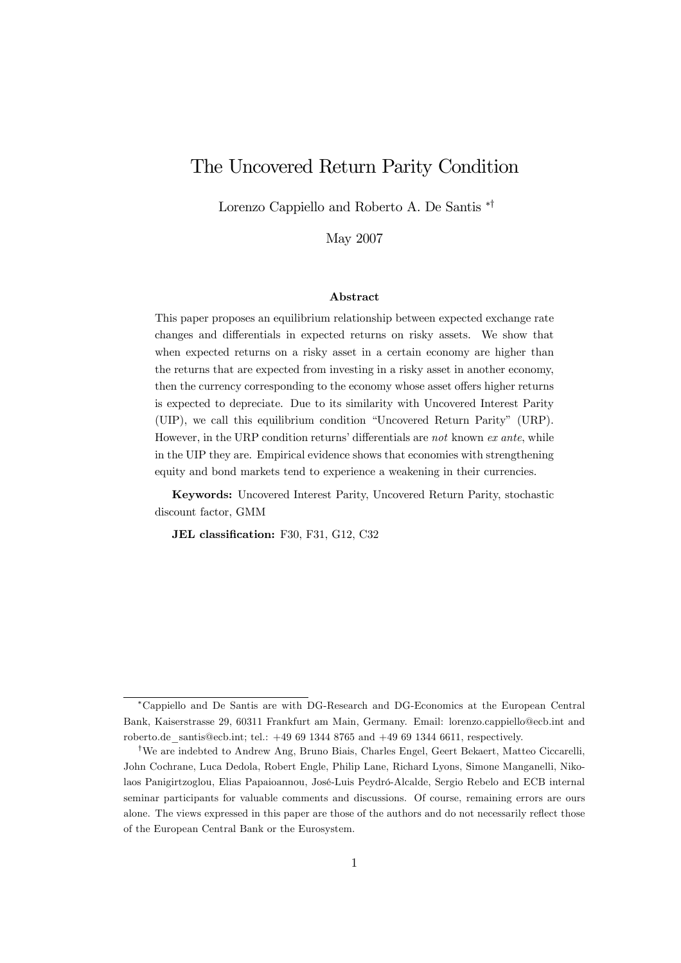# The Uncovered Return Parity Condition

Lorenzo Cappiello and Roberto A. De Santis <sup>∗</sup>†

May 2007

#### Abstract

This paper proposes an equilibrium relationship between expected exchange rate changes and differentials in expected returns on risky assets. We show that when expected returns on a risky asset in a certain economy are higher than the returns that are expected from investing in a risky asset in another economy, then the currency corresponding to the economy whose asset offers higher returns is expected to depreciate. Due to its similarity with Uncovered Interest Parity (UIP), we call this equilibrium condition "Uncovered Return Parity" (URP). However, in the URP condition returns' differentials are not known ex ante, while in the UIP they are. Empirical evidence shows that economies with strengthening equity and bond markets tend to experience a weakening in their currencies.

Keywords: Uncovered Interest Parity, Uncovered Return Parity, stochastic discount factor, GMM

JEL classification: F30, F31, G12, C32

<sup>∗</sup>Cappiello and De Santis are with DG-Research and DG-Economics at the European Central Bank, Kaiserstrasse 29, 60311 Frankfurt am Main, Germany. Email: lorenzo.cappiello@ecb.int and roberto.de\_santis@ecb.int; tel.: +49 69 1344 8765 and +49 69 1344 6611, respectively.

<sup>†</sup>We are indebted to Andrew Ang, Bruno Biais, Charles Engel, Geert Bekaert, Matteo Ciccarelli, John Cochrane, Luca Dedola, Robert Engle, Philip Lane, Richard Lyons, Simone Manganelli, Nikolaos Panigirtzoglou, Elias Papaioannou, José-Luis Peydró-Alcalde, Sergio Rebelo and ECB internal seminar participants for valuable comments and discussions. Of course, remaining errors are ours alone. The views expressed in this paper are those of the authors and do not necessarily reflect those of the European Central Bank or the Eurosystem.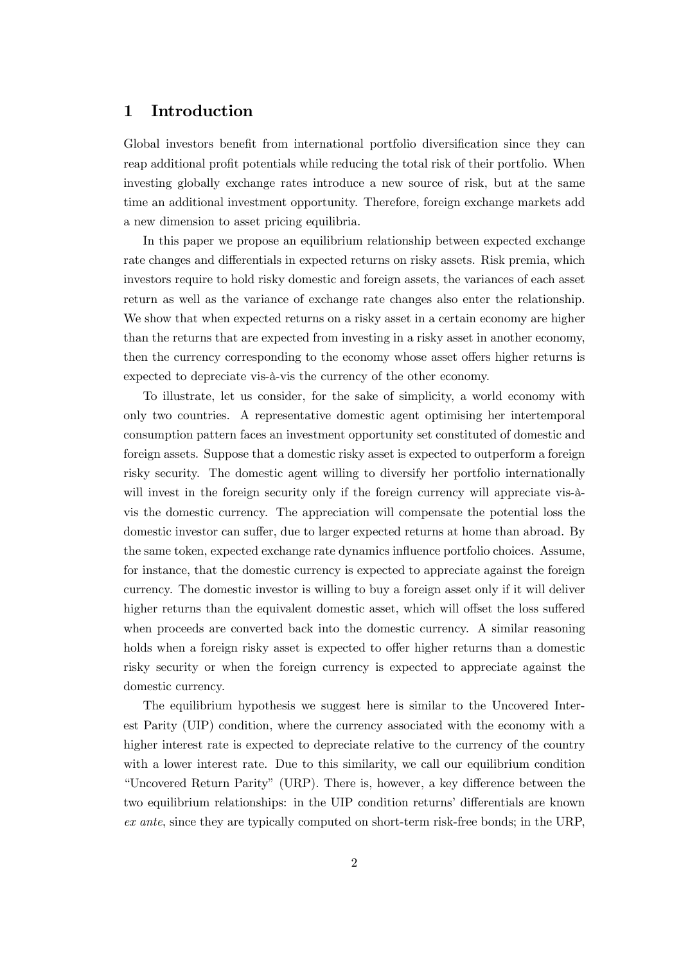### 1 Introduction

Global investors benefit from international portfolio diversification since they can reap additional profit potentials while reducing the total risk of their portfolio. When investing globally exchange rates introduce a new source of risk, but at the same time an additional investment opportunity. Therefore, foreign exchange markets add a new dimension to asset pricing equilibria.

In this paper we propose an equilibrium relationship between expected exchange rate changes and differentials in expected returns on risky assets. Risk premia, which investors require to hold risky domestic and foreign assets, the variances of each asset return as well as the variance of exchange rate changes also enter the relationship. We show that when expected returns on a risky asset in a certain economy are higher than the returns that are expected from investing in a risky asset in another economy, then the currency corresponding to the economy whose asset offers higher returns is expected to depreciate vis-à-vis the currency of the other economy.

To illustrate, let us consider, for the sake of simplicity, a world economy with only two countries. A representative domestic agent optimising her intertemporal consumption pattern faces an investment opportunity set constituted of domestic and foreign assets. Suppose that a domestic risky asset is expected to outperform a foreign risky security. The domestic agent willing to diversify her portfolio internationally will invest in the foreign security only if the foreign currency will appreciate vis-àvis the domestic currency. The appreciation will compensate the potential loss the domestic investor can suffer, due to larger expected returns at home than abroad. By the same token, expected exchange rate dynamics influence portfolio choices. Assume, for instance, that the domestic currency is expected to appreciate against the foreign currency. The domestic investor is willing to buy a foreign asset only if it will deliver higher returns than the equivalent domestic asset, which will offset the loss suffered when proceeds are converted back into the domestic currency. A similar reasoning holds when a foreign risky asset is expected to offer higher returns than a domestic risky security or when the foreign currency is expected to appreciate against the domestic currency.

The equilibrium hypothesis we suggest here is similar to the Uncovered Interest Parity (UIP) condition, where the currency associated with the economy with a higher interest rate is expected to depreciate relative to the currency of the country with a lower interest rate. Due to this similarity, we call our equilibrium condition "Uncovered Return Parity" (URP). There is, however, a key difference between the two equilibrium relationships: in the UIP condition returns' differentials are known ex ante, since they are typically computed on short-term risk-free bonds; in the URP,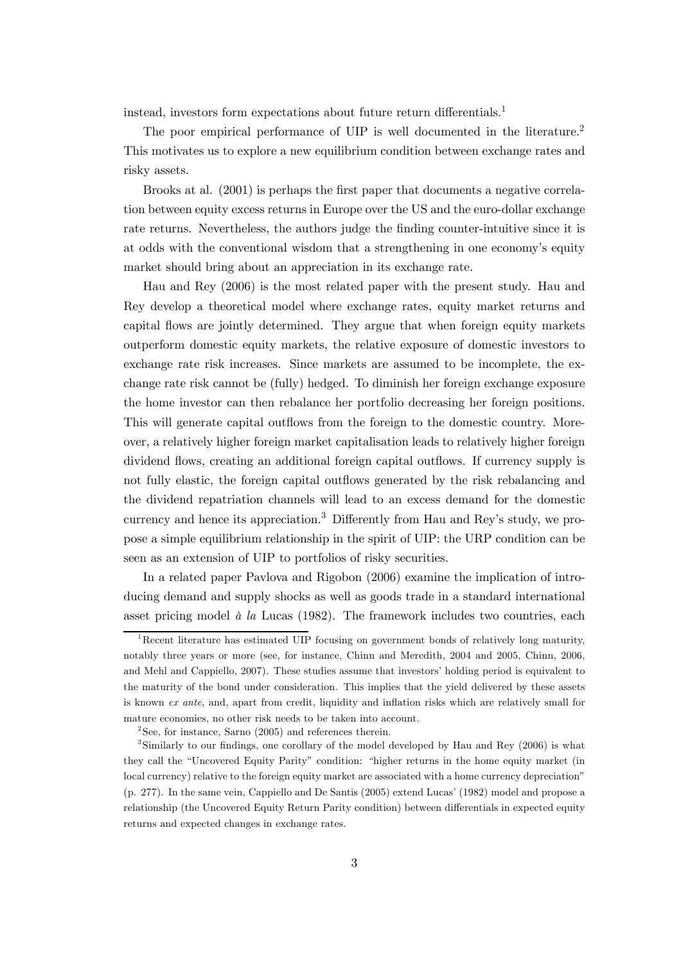instead, investors form expectations about future return differentials.1

The poor empirical performance of UIP is well documented in the literature.<sup>2</sup> This motivates us to explore a new equilibrium condition between exchange rates and risky assets.

Brooks at al. (2001) is perhaps the first paper that documents a negative correlation between equity excess returns in Europe over the US and the euro-dollar exchange rate returns. Nevertheless, the authors judge the finding counter-intuitive since it is at odds with the conventional wisdom that a strengthening in one economy's equity market should bring about an appreciation in its exchange rate.

Hau and Rey (2006) is the most related paper with the present study. Hau and Rey develop a theoretical model where exchange rates, equity market returns and capital flows are jointly determined. They argue that when foreign equity markets outperform domestic equity markets, the relative exposure of domestic investors to exchange rate risk increases. Since markets are assumed to be incomplete, the exchange rate risk cannot be (fully) hedged. To diminish her foreign exchange exposure the home investor can then rebalance her portfolio decreasing her foreign positions. This will generate capital outflows from the foreign to the domestic country. Moreover, a relatively higher foreign market capitalisation leads to relatively higher foreign dividend flows, creating an additional foreign capital outflows. If currency supply is not fully elastic, the foreign capital outflows generated by the risk rebalancing and the dividend repatriation channels will lead to an excess demand for the domestic currency and hence its appreciation.<sup>3</sup> Differently from Hau and Rey's study, we propose a simple equilibrium relationship in the spirit of UIP: the URP condition can be seen as an extension of UIP to portfolios of risky securities.

In a related paper Pavlova and Rigobon (2006) examine the implication of introducing demand and supply shocks as well as goods trade in a standard international asset pricing model à la Lucas (1982). The framework includes two countries, each

<sup>&</sup>lt;sup>1</sup>Recent literature has estimated UIP focusing on government bonds of relatively long maturity, notably three years or more (see, for instance, Chinn and Meredith, 2004 and 2005, Chinn, 2006, and Mehl and Cappiello, 2007). These studies assume that investors' holding period is equivalent to the maturity of the bond under consideration. This implies that the yield delivered by these assets is known ex ante, and, apart from credit, liquidity and inflation risks which are relatively small for mature economies, no other risk needs to be taken into account.

 $2$ See, for instance, Sarno (2005) and references therein.

<sup>3</sup>Similarly to our findings, one corollary of the model developed by Hau and Rey (2006) is what they call the "Uncovered Equity Parity" condition: "higher returns in the home equity market (in local currency) relative to the foreign equity market are associated with a home currency depreciation" (p. 277). In the same vein, Cappiello and De Santis (2005) extend Lucas' (1982) model and propose a relationship (the Uncovered Equity Return Parity condition) between differentials in expected equity returns and expected changes in exchange rates.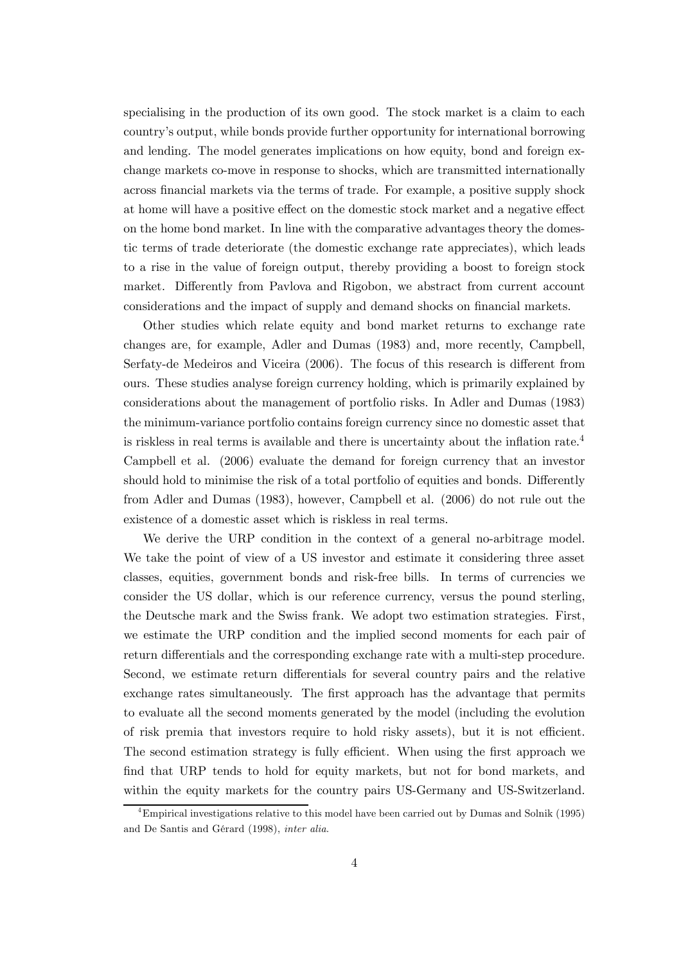specialising in the production of its own good. The stock market is a claim to each country's output, while bonds provide further opportunity for international borrowing and lending. The model generates implications on how equity, bond and foreign exchange markets co-move in response to shocks, which are transmitted internationally across financial markets via the terms of trade. For example, a positive supply shock at home will have a positive effect on the domestic stock market and a negative effect on the home bond market. In line with the comparative advantages theory the domestic terms of trade deteriorate (the domestic exchange rate appreciates), which leads to a rise in the value of foreign output, thereby providing a boost to foreign stock market. Differently from Pavlova and Rigobon, we abstract from current account considerations and the impact of supply and demand shocks on financial markets.

Other studies which relate equity and bond market returns to exchange rate changes are, for example, Adler and Dumas (1983) and, more recently, Campbell, Serfaty-de Medeiros and Viceira (2006). The focus of this research is different from ours. These studies analyse foreign currency holding, which is primarily explained by considerations about the management of portfolio risks. In Adler and Dumas (1983) the minimum-variance portfolio contains foreign currency since no domestic asset that is riskless in real terms is available and there is uncertainty about the inflation rate.4 Campbell et al. (2006) evaluate the demand for foreign currency that an investor should hold to minimise the risk of a total portfolio of equities and bonds. Differently from Adler and Dumas (1983), however, Campbell et al. (2006) do not rule out the existence of a domestic asset which is riskless in real terms.

We derive the URP condition in the context of a general no-arbitrage model. We take the point of view of a US investor and estimate it considering three asset classes, equities, government bonds and risk-free bills. In terms of currencies we consider the US dollar, which is our reference currency, versus the pound sterling, the Deutsche mark and the Swiss frank. We adopt two estimation strategies. First, we estimate the URP condition and the implied second moments for each pair of return differentials and the corresponding exchange rate with a multi-step procedure. Second, we estimate return differentials for several country pairs and the relative exchange rates simultaneously. The first approach has the advantage that permits to evaluate all the second moments generated by the model (including the evolution of risk premia that investors require to hold risky assets), but it is not efficient. The second estimation strategy is fully efficient. When using the first approach we find that URP tends to hold for equity markets, but not for bond markets, and within the equity markets for the country pairs US-Germany and US-Switzerland.

<sup>4</sup>Empirical investigations relative to this model have been carried out by Dumas and Solnik (1995) and De Santis and Gérard (1998), inter alia.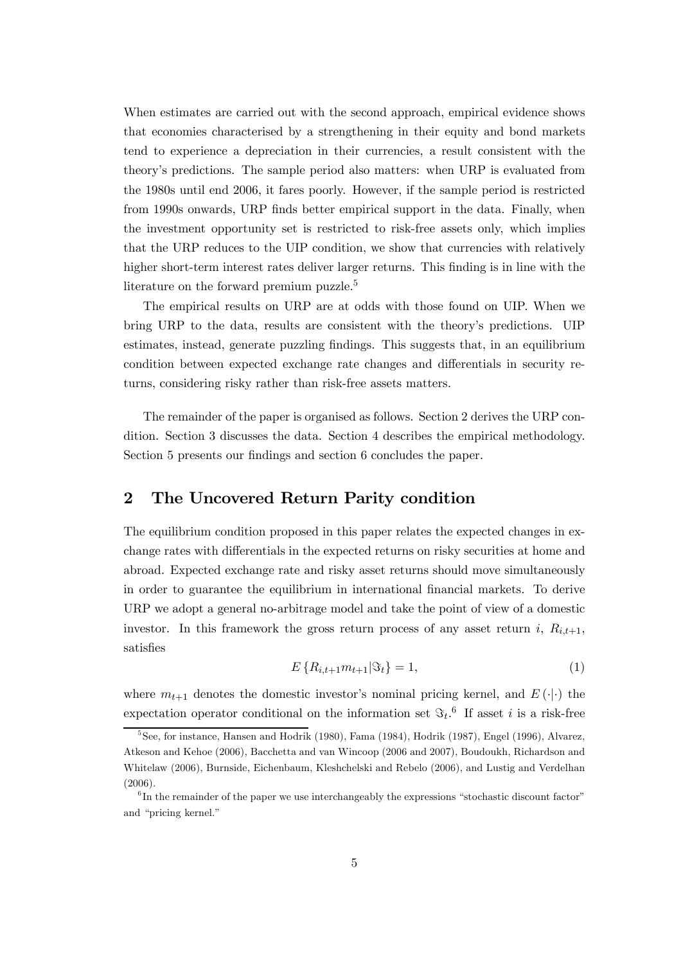When estimates are carried out with the second approach, empirical evidence shows that economies characterised by a strengthening in their equity and bond markets tend to experience a depreciation in their currencies, a result consistent with the theory's predictions. The sample period also matters: when URP is evaluated from the 1980s until end 2006, it fares poorly. However, if the sample period is restricted from 1990s onwards, URP finds better empirical support in the data. Finally, when the investment opportunity set is restricted to risk-free assets only, which implies that the URP reduces to the UIP condition, we show that currencies with relatively higher short-term interest rates deliver larger returns. This finding is in line with the literature on the forward premium puzzle.<sup>5</sup>

The empirical results on URP are at odds with those found on UIP. When we bring URP to the data, results are consistent with the theory's predictions. UIP estimates, instead, generate puzzling findings. This suggests that, in an equilibrium condition between expected exchange rate changes and differentials in security returns, considering risky rather than risk-free assets matters.

The remainder of the paper is organised as follows. Section 2 derives the URP condition. Section 3 discusses the data. Section 4 describes the empirical methodology. Section 5 presents our findings and section 6 concludes the paper.

# 2 The Uncovered Return Parity condition

The equilibrium condition proposed in this paper relates the expected changes in exchange rates with differentials in the expected returns on risky securities at home and abroad. Expected exchange rate and risky asset returns should move simultaneously in order to guarantee the equilibrium in international financial markets. To derive URP we adopt a general no-arbitrage model and take the point of view of a domestic investor. In this framework the gross return process of any asset return i,  $R_{i,t+1}$ , satisfies

$$
E\left\{R_{i,t+1}m_{t+1}|\Im_t\right\} = 1,\tag{1}
$$

where  $m_{t+1}$  denotes the domestic investor's nominal pricing kernel, and  $E(\cdot|\cdot)$  the expectation operator conditional on the information set  $\mathfrak{F}_t$ . If asset i is a risk-free

<sup>&</sup>lt;sup>5</sup>See, for instance, Hansen and Hodrik (1980), Fama (1984), Hodrik (1987), Engel (1996), Alvarez, Atkeson and Kehoe (2006), Bacchetta and van Wincoop (2006 and 2007), Boudoukh, Richardson and Whitelaw (2006), Burnside, Eichenbaum, Kleshchelski and Rebelo (2006), and Lustig and Verdelhan (2006).

 $6\text{In the remainder of the paper we use interchangeably the expressions "stochastic discount factor"$ and "pricing kernel."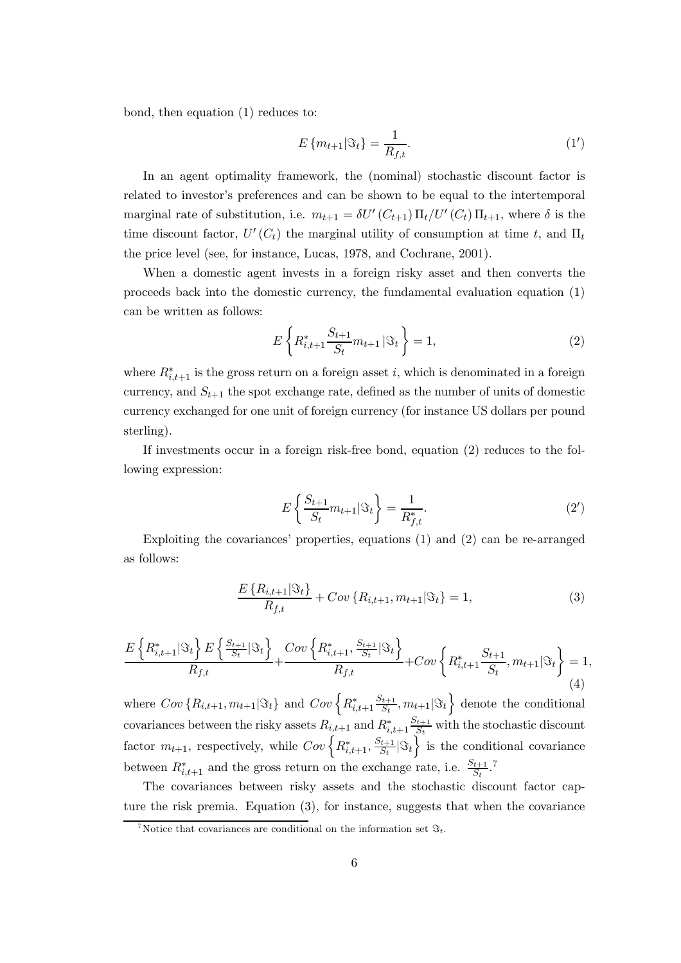bond, then equation (1) reduces to:

$$
E\{m_{t+1}|\Im_t\} = \frac{1}{R_{f,t}}.\tag{1'}
$$

In an agent optimality framework, the (nominal) stochastic discount factor is related to investor's preferences and can be shown to be equal to the intertemporal marginal rate of substitution, i.e.  $m_{t+1} = \delta U'(C_{t+1}) \Pi_t/U'(C_t) \Pi_{t+1}$ , where  $\delta$  is the time discount factor,  $U'(C_t)$  the marginal utility of consumption at time t, and  $\Pi_t$ the price level (see, for instance, Lucas, 1978, and Cochrane, 2001).

When a domestic agent invests in a foreign risky asset and then converts the proceeds back into the domestic currency, the fundamental evaluation equation (1) can be written as follows:

$$
E\left\{R_{i,t+1}^* \frac{S_{t+1}}{S_t} m_{t+1} \, |\mathfrak{S}_t\right\} = 1,\tag{2}
$$

where  $R_{i,t+1}^*$  is the gross return on a foreign asset i, which is denominated in a foreign currency, and  $S_{t+1}$  the spot exchange rate, defined as the number of units of domestic currency exchanged for one unit of foreign currency (for instance US dollars per pound sterling).

If investments occur in a foreign risk-free bond, equation (2) reduces to the following expression:

$$
E\left\{\frac{S_{t+1}}{S_t}m_{t+1}|\Im_t\right\} = \frac{1}{R_{f,t}^*}.
$$
 (2')

Exploiting the covariances' properties, equations (1) and (2) can be re-arranged as follows:

$$
\frac{E\left\{R_{i,t+1}|\Im_t\right\}}{R_{f,t}} + Cov\left\{R_{i,t+1}, m_{t+1}|\Im_t\right\} = 1,\tag{3}
$$

$$
\frac{E\left\{R_{i,t+1}^*|\Im_t\right\}E\left\{\frac{S_{t+1}}{S_t}|\Im_t\right\}}{R_{f,t}} + \frac{Cov\left\{R_{i,t+1}^*, \frac{S_{t+1}}{S_t}|\Im_t\right\}}{R_{f,t}} + Cov\left\{R_{i,t+1}^* \frac{S_{t+1}}{S_t}, m_{t+1}|\Im_t\right\} = 1, \tag{4}
$$

where  $Cov\{R_{i,t+1}, m_{t+1}|\Im_t\}$  and  $Cov\{R_{i,t+1}^*\frac{S_{t+1}}{S_t}, m_{t+1}|\Im_t\}$  denote the conditional covariances between the risky assets  $R_{i,t+1}$  and  $R_{i,t+1}^* \frac{S_{t+1}}{S_t}$  with the stochastic discount factor  $m_{t+1}$ , respectively, while  $Cov \left\{ R^*_{i,t+1}, \frac{S_{t+1}}{S_t} | \Im_t \right\}$  $\sum_{n=1}^{\infty}$  is the conditional covariance between  $R_{i,t+1}^*$  and the gross return on the exchange rate, i.e.  $\frac{S_{t+1}}{S_t}$ .<sup>7</sup>

The covariances between risky assets and the stochastic discount factor capture the risk premia. Equation (3), for instance, suggests that when the covariance

<sup>&</sup>lt;sup>7</sup>Notice that covariances are conditional on the information set  $\Im_t$ .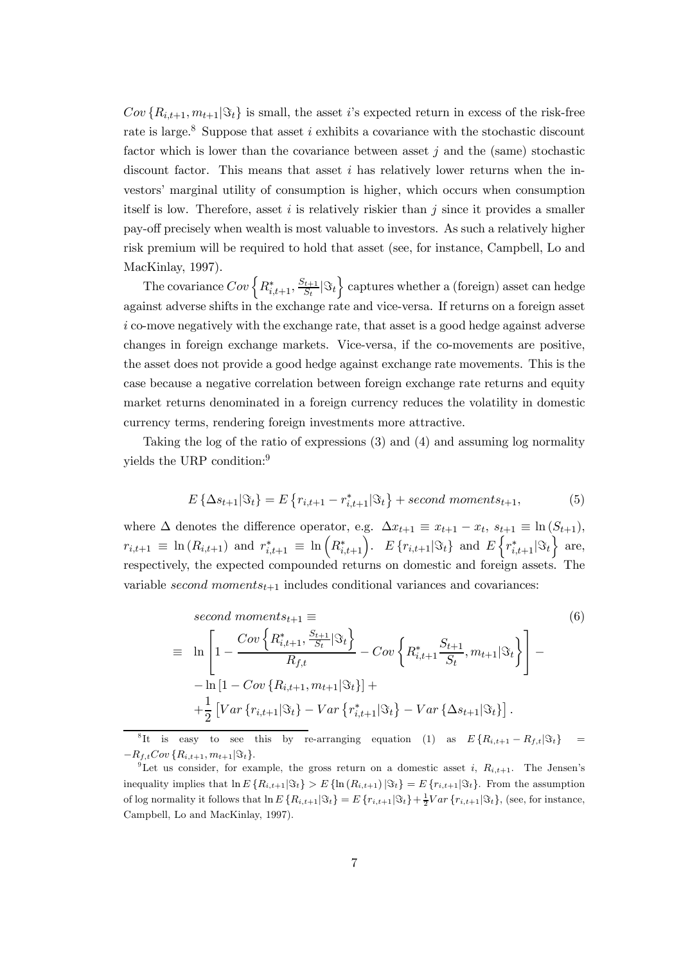$Cov\{R_{i,t+1}, m_{t+1}|\Im_t\}$  is small, the asset i's expected return in excess of the risk-free rate is large.<sup>8</sup> Suppose that asset i exhibits a covariance with the stochastic discount factor which is lower than the covariance between asset  $j$  and the (same) stochastic discount factor. This means that asset  $i$  has relatively lower returns when the investors' marginal utility of consumption is higher, which occurs when consumption itself is low. Therefore, asset i is relatively riskier than j since it provides a smaller pay-off precisely when wealth is most valuable to investors. As such a relatively higher risk premium will be required to hold that asset (see, for instance, Campbell, Lo and MacKinlay, 1997).

The covariance  $Cov \left\{ R^*_{i,t+1}, \frac{S_{t+1}}{S_t} \big| \Im_t \right.$ o captures whether a (foreign) asset can hedge against adverse shifts in the exchange rate and vice-versa. If returns on a foreign asset i co-move negatively with the exchange rate, that asset is a good hedge against adverse changes in foreign exchange markets. Vice-versa, if the co-movements are positive, the asset does not provide a good hedge against exchange rate movements. This is the case because a negative correlation between foreign exchange rate returns and equity market returns denominated in a foreign currency reduces the volatility in domestic currency terms, rendering foreign investments more attractive.

Taking the log of the ratio of expressions (3) and (4) and assuming log normality yields the URP condition:<sup>9</sup>

$$
E\left\{\Delta s_{t+1}|\Im_t\right\} = E\left\{r_{i,t+1} - r_{i,t+1}^*|\Im_t\right\} + second\ moments_{t+1},\tag{5}
$$

where  $\Delta$  denotes the difference operator, e.g.  $\Delta x_{t+1} \equiv x_{t+1} - x_t$ ,  $s_{t+1} \equiv \ln(S_{t+1})$ ,  $r_{i,t+1} \equiv \ln(R_{i,t+1})$  and  $r_{i,t+1}^* \equiv \ln(R_{i,t+1}^*)$ .  $E\{r_{i,t+1}|\Im_t\}$  and  $E\{r_{i,t+1}^*|\Im_t$  $\}$  are, respectively, the expected compounded returns on domestic and foreign assets. The variable second moments<sub>t+1</sub> includes conditional variances and covariances:

$$
\begin{split}\n\text{second moments}_{t+1} & \equiv \qquad (6) \\
& \equiv \ln \left[ 1 - \frac{Cov \left\{ R_{i,t+1}^*, \frac{S_{t+1}}{S_t} | \Im_t \right\}}{R_{f,t}} - Cov \left\{ R_{i,t+1}^* \frac{S_{t+1}}{S_t}, m_{t+1} | \Im_t \right\} \right] - \\
& - \ln \left[ 1 - Cov \left\{ R_{i,t+1}, m_{t+1} | \Im_t \right\} \right] + \\
& + \frac{1}{2} \left[ Var \left\{ r_{i,t+1} | \Im_t \right\} - Var \left\{ r_{i,t+1}^* | \Im_t \right\} - Var \left\{ \Delta s_{t+1} | \Im_t \right\} \right].\n\end{split}
$$

<sup>&</sup>lt;sup>8</sup>It is easy to see this by re-arranging equation (1) as  $E\left\{R_{i,t+1} - R_{f,t} | \Im_t\right\}$  =  $-R_{f,t}Cov\{R_{i,t+1}, m_{t+1}|\Im_t\}.$ <br><sup>9</sup>Let us consider, for example, the gross return on a domestic asset *i*,  $R_{i,t+1}$ . The Jensen's

inequality implies that  $\ln E\{R_{i,t+1}|\Im_t\} > E\{\ln(R_{i,t+1})|\Im_t\} = E\{r_{i,t+1}|\Im_t\}$ . From the assumption of log normality it follows that  $\ln E\left\{R_{i,t+1}|\Im_t\right\} = E\left\{r_{i,t+1}|\Im_t\right\} + \frac{1}{2}Var\left\{r_{i,t+1}|\Im_t\right\}$ , (see, for instance, Campbell, Lo and MacKinlay, 1997).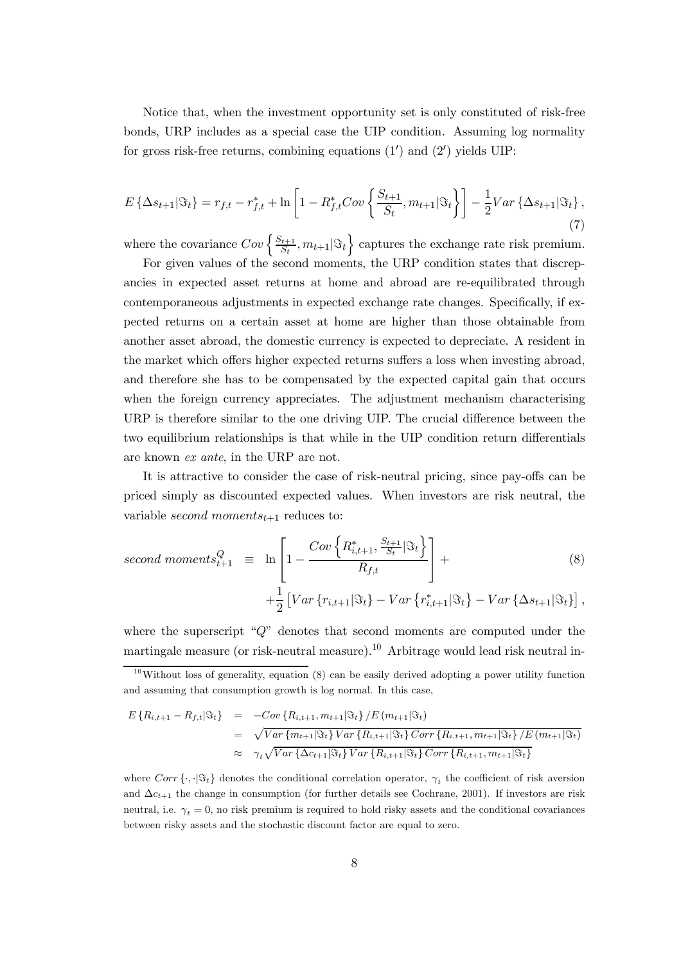Notice that, when the investment opportunity set is only constituted of risk-free bonds, URP includes as a special case the UIP condition. Assuming log normality for gross risk-free returns, combining equations  $(1')$  and  $(2')$  yields UIP:

$$
E\left\{\Delta s_{t+1}|\Im_t\right\} = r_{f,t} - r_{f,t}^* + \ln\left[1 - R_{f,t}^*Cov\left\{\frac{S_{t+1}}{S_t}, m_{t+1}|\Im_t\right\}\right] - \frac{1}{2}Var\left\{\Delta s_{t+1}|\Im_t\right\},\tag{7}
$$

where the covariance  $Cov\left\{\frac{S_{t+1}}{S_t}, m_{t+1}|\Im_t\right\}$  captures the exchange rate risk premium.

For given values of the second moments, the URP condition states that discrepancies in expected asset returns at home and abroad are re-equilibrated through contemporaneous adjustments in expected exchange rate changes. Specifically, if expected returns on a certain asset at home are higher than those obtainable from another asset abroad, the domestic currency is expected to depreciate. A resident in the market which offers higher expected returns suffers a loss when investing abroad, and therefore she has to be compensated by the expected capital gain that occurs when the foreign currency appreciates. The adjustment mechanism characterising URP is therefore similar to the one driving UIP. The crucial difference between the two equilibrium relationships is that while in the UIP condition return differentials are known ex ante, in the URP are not.

It is attractive to consider the case of risk-neutral pricing, since pay-offs can be priced simply as discounted expected values. When investors are risk neutral, the variable second moments<sub>t+1</sub> reduces to:

second moments<sup>Q</sup><sub>t+1</sub> 
$$
\equiv \ln \left[ 1 - \frac{Cov \left\{ R_{i,t+1}^*, \frac{S_{t+1}}{S_t} | \Im_t \right\}}{R_{f,t}} \right] +
$$
 (8)  
  $+ \frac{1}{2} \left[ Var \left\{ r_{i,t+1} | \Im_t \right\} - Var \left\{ r_{i,t+1}^* | \Im_t \right\} - Var \left\{ \Delta s_{t+1} | \Im_t \right\} \right],$ 

where the superscript " $Q$ " denotes that second moments are computed under the martingale measure (or risk-neutral measure).<sup>10</sup> Arbitrage would lead risk neutral in-

$$
E\{R_{i,t+1} - R_{f,t}|\mathfrak{F}_t\} = -Cov\{R_{i,t+1}, m_{t+1}|\mathfrak{F}_t\}/E(m_{t+1}|\mathfrak{F}_t)
$$
  
\n
$$
= \sqrt{Var\{m_{t+1}|\mathfrak{F}_t\} Var\{R_{i,t+1}|\mathfrak{F}_t\} Corr\{R_{i,t+1}, m_{t+1}|\mathfrak{F}_t\}/E(m_{t+1}|\mathfrak{F}_t)}
$$
  
\n
$$
\approx \gamma_t \sqrt{Var\{\Delta c_{t+1}|\mathfrak{F}_t\} Var\{R_{i,t+1}|\mathfrak{F}_t\} Corr\{R_{i,t+1}, m_{t+1}|\mathfrak{F}_t\}}
$$

where  $Corr \{ \cdot, \cdot | \Im_t \}$  denotes the conditional correlation operator,  $\gamma_t$  the coefficient of risk aversion and  $\Delta c_{t+1}$  the change in consumption (for further details see Cochrane, 2001). If investors are risk neutral, i.e.  $\gamma_t = 0$ , no risk premium is required to hold risky assets and the conditional covariances between risky assets and the stochastic discount factor are equal to zero.

 $10$ Without loss of generality, equation (8) can be easily derived adopting a power utility function and assuming that consumption growth is log normal. In this case,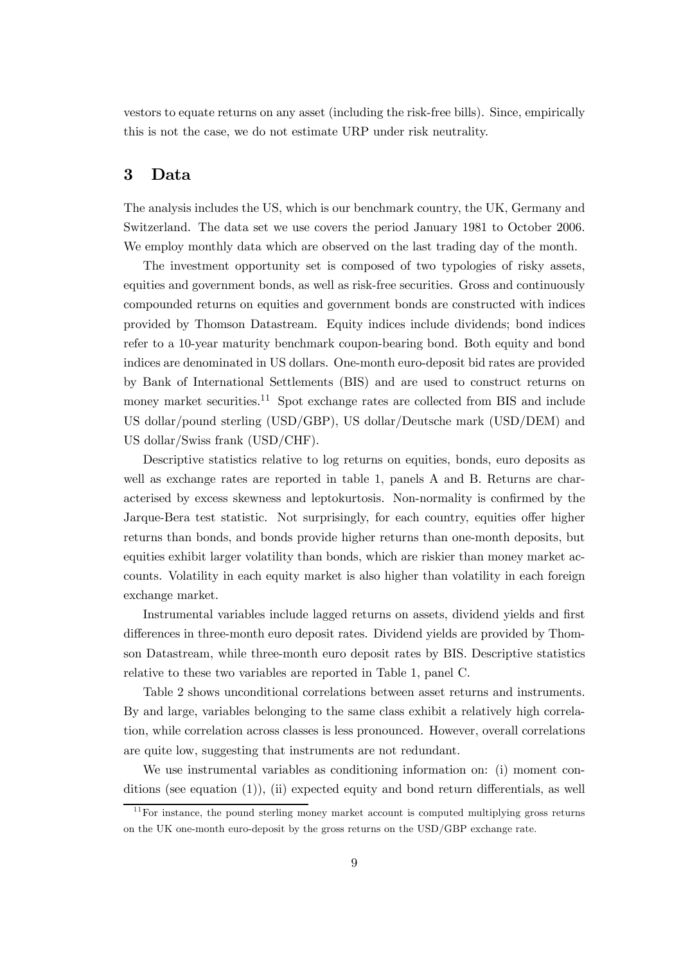vestors to equate returns on any asset (including the risk-free bills). Since, empirically this is not the case, we do not estimate URP under risk neutrality.

## 3 Data

The analysis includes the US, which is our benchmark country, the UK, Germany and Switzerland. The data set we use covers the period January 1981 to October 2006. We employ monthly data which are observed on the last trading day of the month.

The investment opportunity set is composed of two typologies of risky assets, equities and government bonds, as well as risk-free securities. Gross and continuously compounded returns on equities and government bonds are constructed with indices provided by Thomson Datastream. Equity indices include dividends; bond indices refer to a 10-year maturity benchmark coupon-bearing bond. Both equity and bond indices are denominated in US dollars. One-month euro-deposit bid rates are provided by Bank of International Settlements (BIS) and are used to construct returns on money market securities.<sup>11</sup> Spot exchange rates are collected from BIS and include US dollar/pound sterling (USD/GBP), US dollar/Deutsche mark (USD/DEM) and US dollar/Swiss frank (USD/CHF).

Descriptive statistics relative to log returns on equities, bonds, euro deposits as well as exchange rates are reported in table 1, panels A and B. Returns are characterised by excess skewness and leptokurtosis. Non-normality is confirmed by the Jarque-Bera test statistic. Not surprisingly, for each country, equities offer higher returns than bonds, and bonds provide higher returns than one-month deposits, but equities exhibit larger volatility than bonds, which are riskier than money market accounts. Volatility in each equity market is also higher than volatility in each foreign exchange market.

Instrumental variables include lagged returns on assets, dividend yields and first differences in three-month euro deposit rates. Dividend yields are provided by Thomson Datastream, while three-month euro deposit rates by BIS. Descriptive statistics relative to these two variables are reported in Table 1, panel C.

Table 2 shows unconditional correlations between asset returns and instruments. By and large, variables belonging to the same class exhibit a relatively high correlation, while correlation across classes is less pronounced. However, overall correlations are quite low, suggesting that instruments are not redundant.

We use instrumental variables as conditioning information on: (i) moment conditions (see equation  $(1)$ ), (ii) expected equity and bond return differentials, as well

 $11$  For instance, the pound sterling money market account is computed multiplying gross returns on the UK one-month euro-deposit by the gross returns on the USD/GBP exchange rate.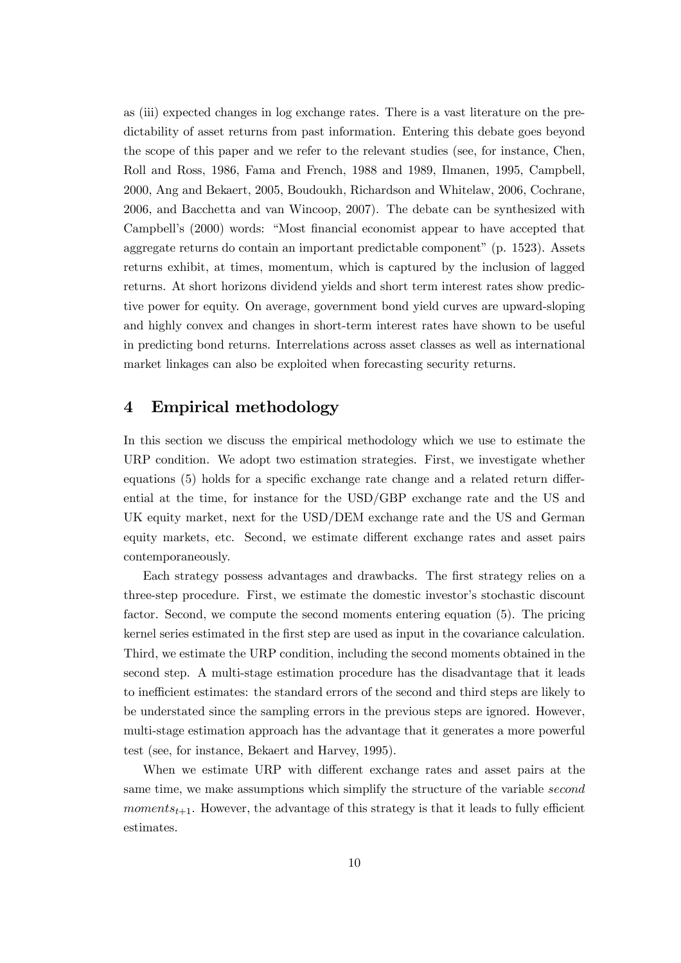as (iii) expected changes in log exchange rates. There is a vast literature on the predictability of asset returns from past information. Entering this debate goes beyond the scope of this paper and we refer to the relevant studies (see, for instance, Chen, Roll and Ross, 1986, Fama and French, 1988 and 1989, Ilmanen, 1995, Campbell, 2000, Ang and Bekaert, 2005, Boudoukh, Richardson and Whitelaw, 2006, Cochrane, 2006, and Bacchetta and van Wincoop, 2007). The debate can be synthesized with Campbell's (2000) words: "Most financial economist appear to have accepted that aggregate returns do contain an important predictable component" (p. 1523). Assets returns exhibit, at times, momentum, which is captured by the inclusion of lagged returns. At short horizons dividend yields and short term interest rates show predictive power for equity. On average, government bond yield curves are upward-sloping and highly convex and changes in short-term interest rates have shown to be useful in predicting bond returns. Interrelations across asset classes as well as international market linkages can also be exploited when forecasting security returns.

## 4 Empirical methodology

In this section we discuss the empirical methodology which we use to estimate the URP condition. We adopt two estimation strategies. First, we investigate whether equations (5) holds for a specific exchange rate change and a related return differential at the time, for instance for the USD/GBP exchange rate and the US and UK equity market, next for the USD/DEM exchange rate and the US and German equity markets, etc. Second, we estimate different exchange rates and asset pairs contemporaneously.

Each strategy possess advantages and drawbacks. The first strategy relies on a three-step procedure. First, we estimate the domestic investor's stochastic discount factor. Second, we compute the second moments entering equation (5). The pricing kernel series estimated in the first step are used as input in the covariance calculation. Third, we estimate the URP condition, including the second moments obtained in the second step. A multi-stage estimation procedure has the disadvantage that it leads to inefficient estimates: the standard errors of the second and third steps are likely to be understated since the sampling errors in the previous steps are ignored. However, multi-stage estimation approach has the advantage that it generates a more powerful test (see, for instance, Bekaert and Harvey, 1995).

When we estimate URP with different exchange rates and asset pairs at the same time, we make assumptions which simplify the structure of the variable second moments<sub>t+1</sub>. However, the advantage of this strategy is that it leads to fully efficient estimates.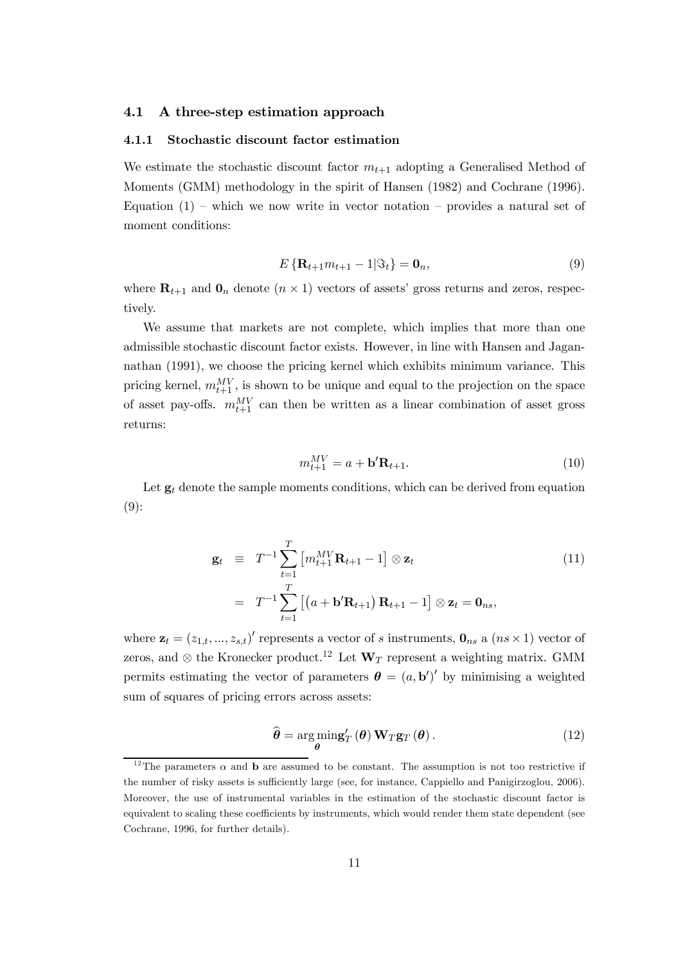#### 4.1 A three-step estimation approach

#### 4.1.1 Stochastic discount factor estimation

We estimate the stochastic discount factor  $m_{t+1}$  adopting a Generalised Method of Moments (GMM) methodology in the spirit of Hansen (1982) and Cochrane (1996). Equation  $(1)$  – which we now write in vector notation – provides a natural set of moment conditions:

$$
E\left\{\mathbf{R}_{t+1}m_{t+1}-1|\Im_t\right\}=0_n,\tag{9}
$$

where  $\mathbf{R}_{t+1}$  and  $\mathbf{0}_n$  denote  $(n \times 1)$  vectors of assets' gross returns and zeros, respectively.

We assume that markets are not complete, which implies that more than one admissible stochastic discount factor exists. However, in line with Hansen and Jagannathan (1991), we choose the pricing kernel which exhibits minimum variance. This pricing kernel,  $m_{t+1}^{MV}$ , is shown to be unique and equal to the projection on the space of asset pay-offs.  $m_{t+1}^{MV}$  can then be written as a linear combination of asset gross returns:

$$
m_{t+1}^{MV} = a + \mathbf{b}' \mathbf{R}_{t+1}.
$$
\n(10)

Let  $g_t$  denote the sample moments conditions, which can be derived from equation  $(9)$ :

$$
\mathbf{g}_t \equiv T^{-1} \sum_{t=1}^T \left[ m_{t+1}^{MV} \mathbf{R}_{t+1} - 1 \right] \otimes \mathbf{z}_t
$$
\n
$$
= T^{-1} \sum_{t=1}^T \left[ \left( a + \mathbf{b}' \mathbf{R}_{t+1} \right) \mathbf{R}_{t+1} - 1 \right] \otimes \mathbf{z}_t = \mathbf{0}_{ns},
$$
\n(11)

where  $\mathbf{z}_t = (z_{1,t},...,z_{s,t})'$  represents a vector of s instruments,  $\mathbf{0}_{ns}$  a  $(ns \times 1)$  vector of zeros, and ⊗ the Kronecker product.<sup>12</sup> Let  $W_T$  represent a weighting matrix. GMM permits estimating the vector of parameters  $\boldsymbol{\theta} = (a, b')'$  by minimising a weighted sum of squares of pricing errors across assets:

$$
\widehat{\boldsymbol{\theta}} = \operatorname*{arg\,min}_{\boldsymbol{\theta}} \mathbf{g}'_T(\boldsymbol{\theta}) \mathbf{W}_T \mathbf{g}_T(\boldsymbol{\theta}).
$$
\n(12)

<sup>&</sup>lt;sup>12</sup>The parameters  $\alpha$  and **b** are assumed to be constant. The assumption is not too restrictive if the number of risky assets is sufficiently large (see, for instance, Cappiello and Panigirzoglou, 2006). Moreover, the use of instrumental variables in the estimation of the stochastic discount factor is equivalent to scaling these coefficients by instruments, which would render them state dependent (see Cochrane, 1996, for further details).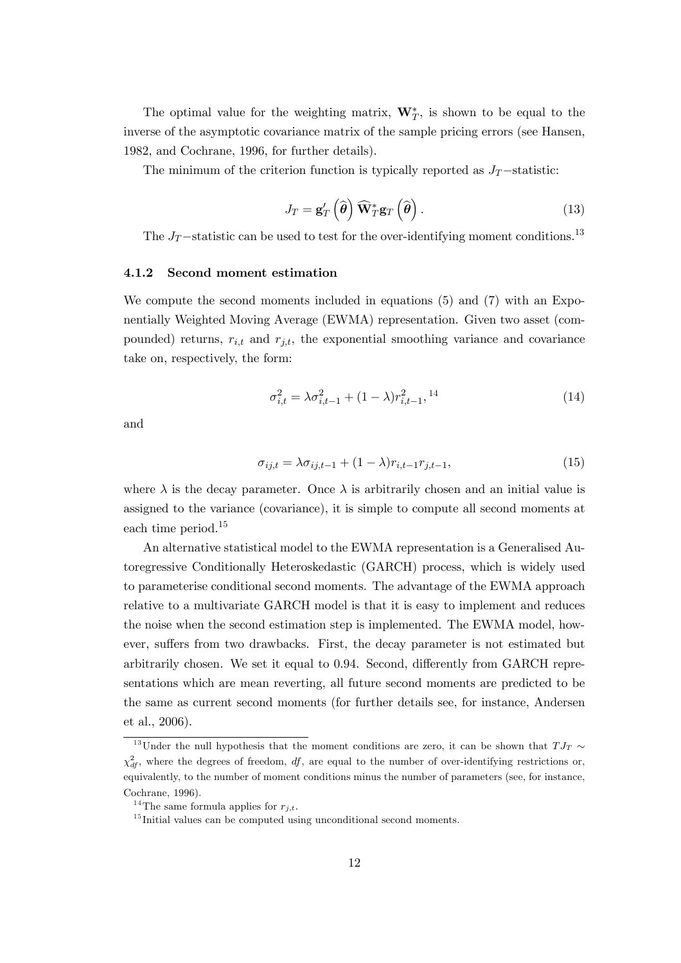The optimal value for the weighting matrix,  $\mathbf{W}_{T}^{*}$ , is shown to be equal to the inverse of the asymptotic covariance matrix of the sample pricing errors (see Hansen, 1982, and Cochrane, 1996, for further details).

The minimum of the criterion function is typically reported as  $J_T$ −statistic:

$$
J_T = \mathbf{g}'_T \left( \widehat{\boldsymbol{\theta}} \right) \widehat{\mathbf{W}}_T^* \mathbf{g}_T \left( \widehat{\boldsymbol{\theta}} \right). \tag{13}
$$

The  $J_T$ −statistic can be used to test for the over-identifying moment conditions.<sup>13</sup>

#### 4.1.2 Second moment estimation

We compute the second moments included in equations (5) and (7) with an Exponentially Weighted Moving Average (EWMA) representation. Given two asset (compounded) returns,  $r_{i,t}$  and  $r_{j,t}$ , the exponential smoothing variance and covariance take on, respectively, the form:

$$
\sigma_{i,t}^2 = \lambda \sigma_{i,t-1}^2 + (1 - \lambda) r_{i,t-1}^2, \quad (14)
$$

and

$$
\sigma_{ij,t} = \lambda \sigma_{ij,t-1} + (1 - \lambda) r_{i,t-1} r_{j,t-1}, \qquad (15)
$$

where  $\lambda$  is the decay parameter. Once  $\lambda$  is arbitrarily chosen and an initial value is assigned to the variance (covariance), it is simple to compute all second moments at each time period.<sup>15</sup>

An alternative statistical model to the EWMA representation is a Generalised Autoregressive Conditionally Heteroskedastic (GARCH) process, which is widely used to parameterise conditional second moments. The advantage of the EWMA approach relative to a multivariate GARCH model is that it is easy to implement and reduces the noise when the second estimation step is implemented. The EWMA model, however, suffers from two drawbacks. First, the decay parameter is not estimated but arbitrarily chosen. We set it equal to 0.94. Second, differently from GARCH representations which are mean reverting, all future second moments are predicted to be the same as current second moments (for further details see, for instance, Andersen et al., 2006).

<sup>&</sup>lt;sup>13</sup>Under the null hypothesis that the moment conditions are zero, it can be shown that  $T J_T \sim$  $\chi^2_{df}$ , where the degrees of freedom, df, are equal to the number of over-identifying restrictions or, equivalently, to the number of moment conditions minus the number of parameters (see, for instance, Cochrane, 1996).

<sup>&</sup>lt;sup>14</sup>The same formula applies for  $r_{j,t}$ .

 $^{15}\mathrm{Initial}$  values can be computed using unconditional second moments.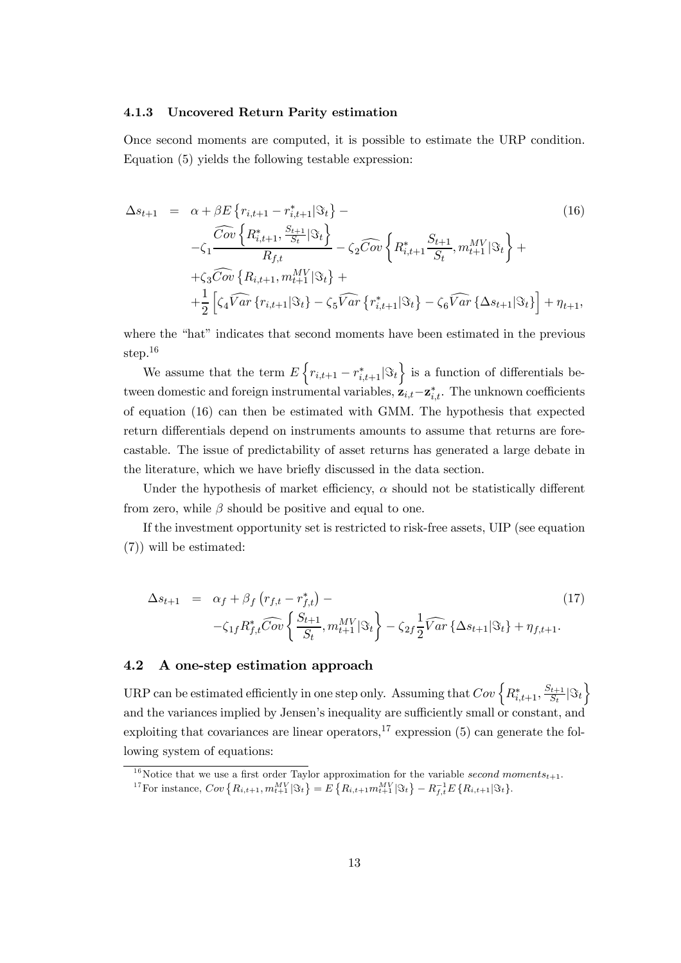#### 4.1.3 Uncovered Return Parity estimation

Once second moments are computed, it is possible to estimate the URP condition. Equation (5) yields the following testable expression:

$$
\Delta s_{t+1} = \alpha + \beta E \left\{ r_{i,t+1} - r_{i,t+1}^* | \mathfrak{F}_t \right\} -
$$
\n
$$
- \zeta_1 \frac{\widehat{Cov} \left\{ R_{i,t+1}^*, \frac{S_{t+1}}{S_t} | \mathfrak{F}_t \right\}}{R_{f,t}} - \zeta_2 \widehat{Cov} \left\{ R_{i,t+1}^* \frac{S_{t+1}}{S_t}, m_{t+1}^M | \mathfrak{F}_t \right\} +
$$
\n
$$
+ \zeta_3 \widehat{Cov} \left\{ R_{i,t+1}, m_{t+1}^M | \mathfrak{F}_t \right\} +
$$
\n
$$
+ \frac{1}{2} \left[ \zeta_4 \widehat{Var} \left\{ r_{i,t+1} | \mathfrak{F}_t \right\} - \zeta_5 \widehat{Var} \left\{ r_{i,t+1}^* | \mathfrak{F}_t \right\} - \zeta_6 \widehat{Var} \left\{ \Delta s_{t+1} | \mathfrak{F}_t \right\} \right] + \eta_{t+1},
$$
\n(16)

where the "hat" indicates that second moments have been estimated in the previous step.16

We assume that the term  $E\left\{r_{i,t+1} - r_{i,t+1}^* | \Im_t \right\}$  $\}$  is a function of differentials between domestic and foreign instrumental variables,  $z_{i,t} - z_{i,t}^*$ . The unknown coefficients of equation (16) can then be estimated with GMM. The hypothesis that expected return differentials depend on instruments amounts to assume that returns are forecastable. The issue of predictability of asset returns has generated a large debate in the literature, which we have briefly discussed in the data section.

Under the hypothesis of market efficiency,  $\alpha$  should not be statistically different from zero, while  $\beta$  should be positive and equal to one.

If the investment opportunity set is restricted to risk-free assets, UIP (see equation (7)) will be estimated:

$$
\Delta s_{t+1} = \alpha_f + \beta_f (r_{f,t} - r_{f,t}^*) -
$$
  
- $\zeta_{1f} R_{f,t}^* \widehat{Cov} \left\{ \frac{S_{t+1}}{S_t}, m_{t+1}^{MV} | \Im_t \right\} - \zeta_{2f} \frac{1}{2} \widehat{Var} \left\{ \Delta s_{t+1} | \Im_t \right\} + \eta_{f,t+1}.$  (17)

#### 4.2 A one-step estimation approach

URP can be estimated efficiently in one step only. Assuming that  $Cov\left\{R^*_{i,t+1}, \frac{S_{t+1}}{S_t} \middle| \mathfrak{F}_t\right\}$  $\overline{1}$ and the variances implied by Jensen's inequality are sufficiently small or constant, and exploiting that covariances are linear operators,  $17$  expression (5) can generate the following system of equations:

<sup>&</sup>lt;sup>16</sup>Notice that we use a first order Taylor approximation for the variable second moments<sub>t+1</sub>. <sup>17</sup>For instance,  $Cov\{R_{i,t+1}, m_{t+1}^{MV} | \Im_t\} = E\{R_{i,t+1} m_{t+1}^{MV} | \Im_t\} - R_{f,t}^{-1} E\{R_{i,t+1} | \Im_t\}$ .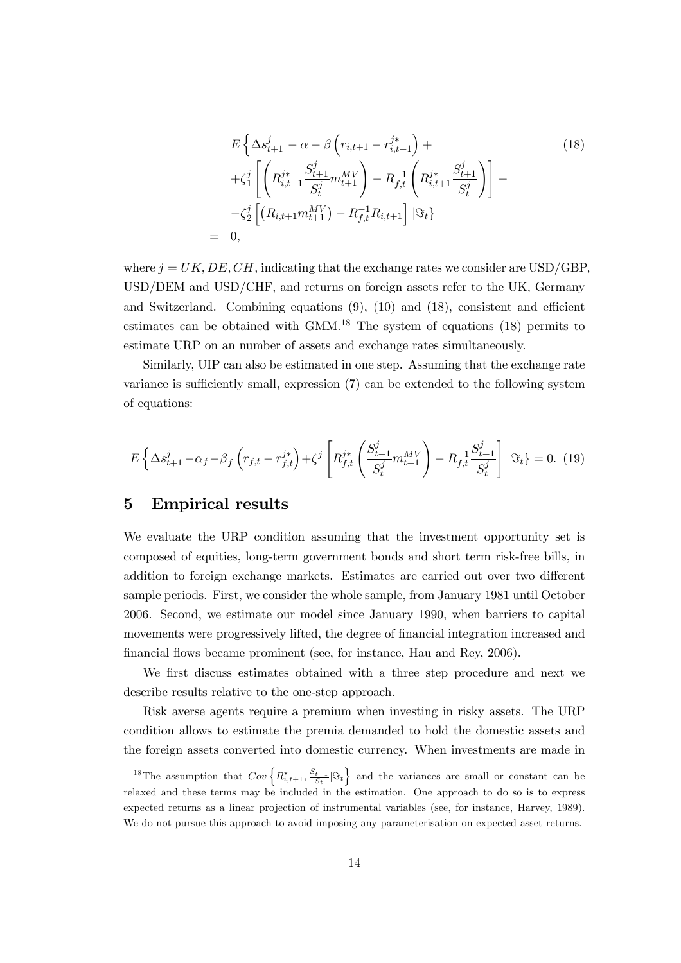$$
E\left\{\Delta s_{t+1}^j - \alpha - \beta \left(r_{i,t+1} - r_{i,t+1}^{j*}\right) + \right\}
$$
  
+
$$
\zeta_1^j \left[ \left(R_{i,t+1}^{j*} \frac{S_{t+1}^j}{S_t^j} m_{t+1}^{MV}\right) - R_{f,t}^{-1} \left(R_{i,t+1}^{j*} \frac{S_{t+1}^j}{S_t^j}\right) \right] - \left(-\zeta_2^j \left[ \left(R_{i,t+1} m_{t+1}^{MV}\right) - R_{f,t}^{-1} R_{i,t+1} \right] \middle| \Im_t \right\}
$$
  
= 0, (18)

where  $j = UK, DE, CH$ , indicating that the exchange rates we consider are USD/GBP. USD/DEM and USD/CHF, and returns on foreign assets refer to the UK, Germany and Switzerland. Combining equations (9), (10) and (18), consistent and efficient estimates can be obtained with  $GMM<sup>18</sup>$  The system of equations (18) permits to estimate URP on an number of assets and exchange rates simultaneously.

Similarly, UIP can also be estimated in one step. Assuming that the exchange rate variance is sufficiently small, expression (7) can be extended to the following system of equations:

$$
E\left\{\Delta s_{t+1}^j - \alpha_f - \beta_f \left(r_{f,t} - r_{f,t}^{j*}\right) + \zeta^j \left[R_{f,t}^{j*} \left(\frac{S_{t+1}^j}{S_t^j} m_{t+1}^{MV}\right) - R_{f,t}^{-1} \frac{S_{t+1}^j}{S_t^j}\right] \,|\mathfrak{F}_t\right\} = 0. \tag{19}
$$

### 5 Empirical results

 $=$ 

We evaluate the URP condition assuming that the investment opportunity set is composed of equities, long-term government bonds and short term risk-free bills, in addition to foreign exchange markets. Estimates are carried out over two different sample periods. First, we consider the whole sample, from January 1981 until October 2006. Second, we estimate our model since January 1990, when barriers to capital movements were progressively lifted, the degree of financial integration increased and financial flows became prominent (see, for instance, Hau and Rey, 2006).

We first discuss estimates obtained with a three step procedure and next we describe results relative to the one-step approach.

Risk averse agents require a premium when investing in risky assets. The URP condition allows to estimate the premia demanded to hold the domestic assets and the foreign assets converted into domestic currency. When investments are made in

<sup>&</sup>lt;sup>18</sup>The assumption that  $Cov \left\{ R^*_{i,t+1}, \frac{S_{t+1}}{S_t} \middle| \mathfrak{S}_t \right\}$ r and the variances are small or constant can be relaxed and these terms may be included in the estimation. One approach to do so is to express expected returns as a linear projection of instrumental variables (see, for instance, Harvey, 1989). We do not pursue this approach to avoid imposing any parameterisation on expected asset returns.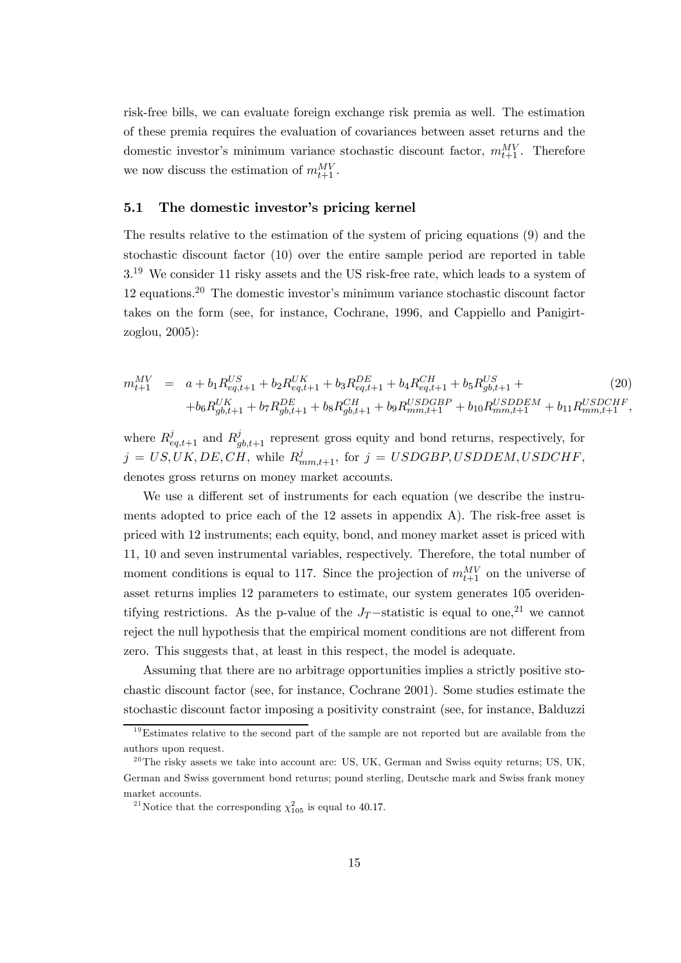risk-free bills, we can evaluate foreign exchange risk premia as well. The estimation of these premia requires the evaluation of covariances between asset returns and the domestic investor's minimum variance stochastic discount factor,  $m_{t+1}^{MV}$ . Therefore we now discuss the estimation of  $m_{t+1}^{MV}$ .

#### 5.1 The domestic investor's pricing kernel

The results relative to the estimation of the system of pricing equations (9) and the stochastic discount factor (10) over the entire sample period are reported in table 3.<sup>19</sup> We consider 11 risky assets and the US risk-free rate, which leads to a system of 12 equations.20 The domestic investor's minimum variance stochastic discount factor takes on the form (see, for instance, Cochrane, 1996, and Cappiello and Panigirtzoglou, 2005):

$$
m_{t+1}^{MV} = a + b_1 R_{eq,t+1}^{US} + b_2 R_{eq,t+1}^{UK} + b_3 R_{eq,t+1}^{DE} + b_4 R_{eq,t+1}^{CH} + b_5 R_{gb,t+1}^{US} + + b_6 R_{gb,t+1}^{UK} + b_7 R_{gb,t+1}^{DE} + b_8 R_{gb,t+1}^{CH} + b_9 R_{mm,t+1}^{USDOGBP} + b_{10} R_{mm,t+1}^{USDOEH} + b_{11} R_{mm,t+1}^{USDOHF},
$$
\n
$$
(20)
$$

where  $R_{eq,t+1}^j$  and  $R_{gb,t+1}^j$  represent gross equity and bond returns, respectively, for  $j = US, UK, DE, CH$ , while  $R_{mm,t+1}^j$ , for  $j = USDGBP, USDDEM, USDCHF$ , denotes gross returns on money market accounts.

We use a different set of instruments for each equation (we describe the instruments adopted to price each of the 12 assets in appendix A). The risk-free asset is priced with 12 instruments; each equity, bond, and money market asset is priced with 11, 10 and seven instrumental variables, respectively. Therefore, the total number of moment conditions is equal to 117. Since the projection of  $m_{t+1}^{MV}$  on the universe of asset returns implies 12 parameters to estimate, our system generates 105 overidentifying restrictions. As the p-value of the  $J_T$ −statistic is equal to one,<sup>21</sup> we cannot reject the null hypothesis that the empirical moment conditions are not different from zero. This suggests that, at least in this respect, the model is adequate.

Assuming that there are no arbitrage opportunities implies a strictly positive stochastic discount factor (see, for instance, Cochrane 2001). Some studies estimate the stochastic discount factor imposing a positivity constraint (see, for instance, Balduzzi

 $19$ Estimates relative to the second part of the sample are not reported but are available from the authors upon request.

 $^{20}$ The risky assets we take into account are: US, UK, German and Swiss equity returns; US, UK, German and Swiss government bond returns; pound sterling, Deutsche mark and Swiss frank money market accounts.

<sup>&</sup>lt;sup>21</sup>Notice that the corresponding  $\chi_{105}^2$  is equal to 40.17.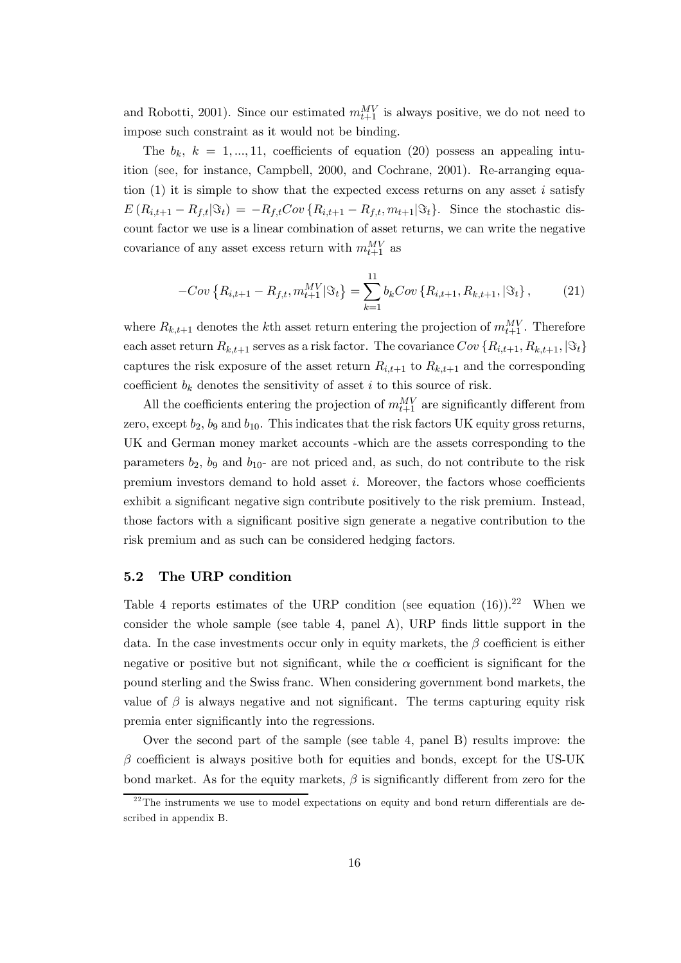and Robotti, 2001). Since our estimated  $m_{t+1}^{MV}$  is always positive, we do not need to impose such constraint as it would not be binding.

The  $b_k$ ,  $k = 1, ..., 11$ , coefficients of equation (20) possess an appealing intuition (see, for instance, Campbell, 2000, and Cochrane, 2001). Re-arranging equation  $(1)$  it is simple to show that the expected excess returns on any asset i satisfy  $E(R_{i,t+1} - R_{f,t} | \Im_t) = -R_{f,t}Cov\{R_{i,t+1} - R_{f,t}, m_{t+1} | \Im_t\}.$  Since the stochastic discount factor we use is a linear combination of asset returns, we can write the negative covariance of any asset excess return with  $m_{t+1}^{MV}$  as

$$
-Cov\left\{R_{i,t+1} - R_{f,t}, m_{t+1}^{MV} | \Im_t\right\} = \sum_{k=1}^{11} b_k Cov\left\{R_{i,t+1}, R_{k,t+1}, |\Im_t\right\},\tag{21}
$$

where  $R_{k,t+1}$  denotes the k<sup>th</sup> asset return entering the projection of  $m_{t+1}^{MV}$ . Therefore each asset return  $R_{k,t+1}$  serves as a risk factor. The covariance  $Cov\{R_{i,t+1}, R_{k,t+1}, |S_t\}$ captures the risk exposure of the asset return  $R_{i,t+1}$  to  $R_{k,t+1}$  and the corresponding coefficient  $b_k$  denotes the sensitivity of asset i to this source of risk.

All the coefficients entering the projection of  $m_{t+1}^{MV}$  are significantly different from zero, except  $b_2$ ,  $b_9$  and  $b_{10}$ . This indicates that the risk factors UK equity gross returns, UK and German money market accounts -which are the assets corresponding to the parameters  $b_2$ ,  $b_9$  and  $b_{10}$ - are not priced and, as such, do not contribute to the risk premium investors demand to hold asset  $i$ . Moreover, the factors whose coefficients exhibit a significant negative sign contribute positively to the risk premium. Instead, those factors with a significant positive sign generate a negative contribution to the risk premium and as such can be considered hedging factors.

#### 5.2 The URP condition

Table 4 reports estimates of the URP condition (see equation  $(16)$ ).<sup>22</sup> When we consider the whole sample (see table 4, panel A), URP finds little support in the data. In the case investments occur only in equity markets, the  $\beta$  coefficient is either negative or positive but not significant, while the  $\alpha$  coefficient is significant for the pound sterling and the Swiss franc. When considering government bond markets, the value of  $\beta$  is always negative and not significant. The terms capturing equity risk premia enter significantly into the regressions.

Over the second part of the sample (see table 4, panel B) results improve: the  $\beta$  coefficient is always positive both for equities and bonds, except for the US-UK bond market. As for the equity markets,  $\beta$  is significantly different from zero for the

 $^{22}$ The instruments we use to model expectations on equity and bond return differentials are described in appendix B.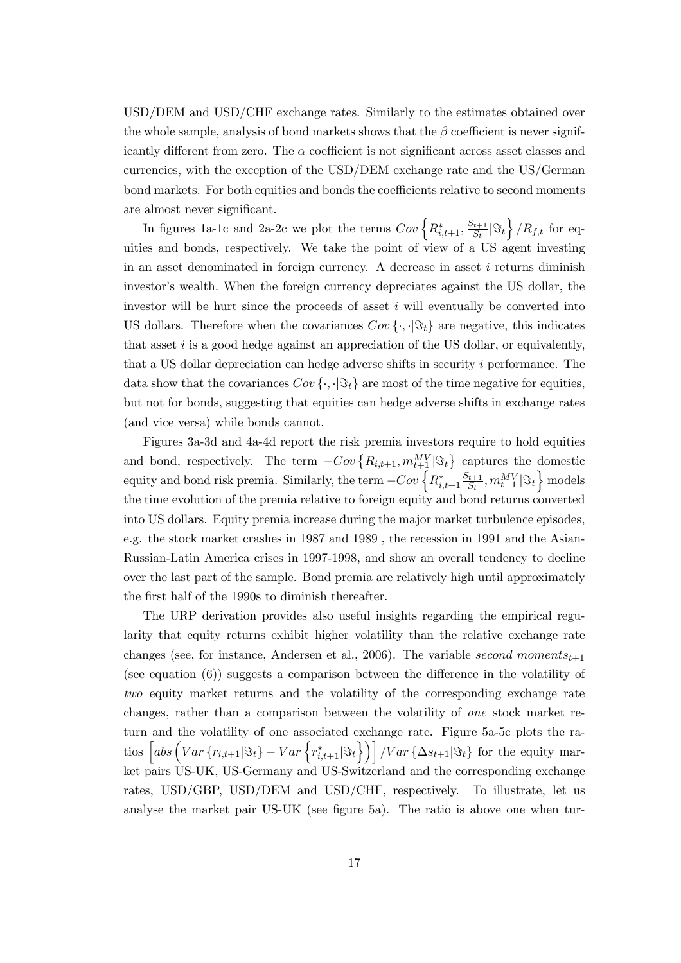USD/DEM and USD/CHF exchange rates. Similarly to the estimates obtained over the whole sample, analysis of bond markets shows that the  $\beta$  coefficient is never significantly different from zero. The  $\alpha$  coefficient is not significant across asset classes and currencies, with the exception of the USD/DEM exchange rate and the US/German bond markets. For both equities and bonds the coefficients relative to second moments are almost never significant.

In figures 1a-1c and 2a-2c we plot the terms  $Cov \left\{ R_{i,t+1}^*, \frac{S_{t+1}}{S_t} \middle| \mathfrak{S}_t \right\}$  $\left\{ \frac{R_{f,t}}{R_{f,t}} \right\}$  for equities and bonds, respectively. We take the point of view of a US agent investing in an asset denominated in foreign currency. A decrease in asset  $i$  returns diminish investor's wealth. When the foreign currency depreciates against the US dollar, the investor will be hurt since the proceeds of asset  $i$  will eventually be converted into US dollars. Therefore when the covariances  $Cov \{\cdot, \cdot | \Im_t\}$  are negative, this indicates that asset  $i$  is a good hedge against an appreciation of the US dollar, or equivalently, that a US dollar depreciation can hedge adverse shifts in security i performance. The data show that the covariances  $Cov \{ \cdot, \cdot | \Im_t \}$  are most of the time negative for equities, but not for bonds, suggesting that equities can hedge adverse shifts in exchange rates (and vice versa) while bonds cannot.

Figures 3a-3d and 4a-4d report the risk premia investors require to hold equities and bond, respectively. The term  $-Cov\left\{R_{i,t+1}, m_{t+1}^{MV} | \Im_t\right\}$  captures the domestic equity and bond risk premia. Similarly, the term  $-Cov \left\{ R_{i,t+1}^* \frac{S_{t+1}}{S_t}, m_{t+1}^{MV} | \Im_t \right\}$  $\}$  models the time evolution of the premia relative to foreign equity and bond returns converted into US dollars. Equity premia increase during the major market turbulence episodes, e.g. the stock market crashes in 1987 and 1989 , the recession in 1991 and the Asian-Russian-Latin America crises in 1997-1998, and show an overall tendency to decline over the last part of the sample. Bond premia are relatively high until approximately the first half of the 1990s to diminish thereafter.

The URP derivation provides also useful insights regarding the empirical regularity that equity returns exhibit higher volatility than the relative exchange rate changes (see, for instance, Andersen et al., 2006). The variable second moments<sub>t+1</sub> (see equation (6)) suggests a comparison between the difference in the volatility of two equity market returns and the volatility of the corresponding exchange rate changes, rather than a comparison between the volatility of one stock market return and the volatility of one associated exchange rate. Figure 5a-5c plots the ratios  $\left[abs\left(Var\left\{r_{i,t+1}|\Im_t\right\} - Var\left\{r_{i,t+1}^*|\Im_t\right\}\right)\right] / Var\left\{\Delta s_{t+1}|\Im_t\right\}$  for the equity market pairs US-UK, US-Germany and US-Switzerland and the corresponding exchange rates, USD/GBP, USD/DEM and USD/CHF, respectively. To illustrate, let us analyse the market pair US-UK (see figure 5a). The ratio is above one when tur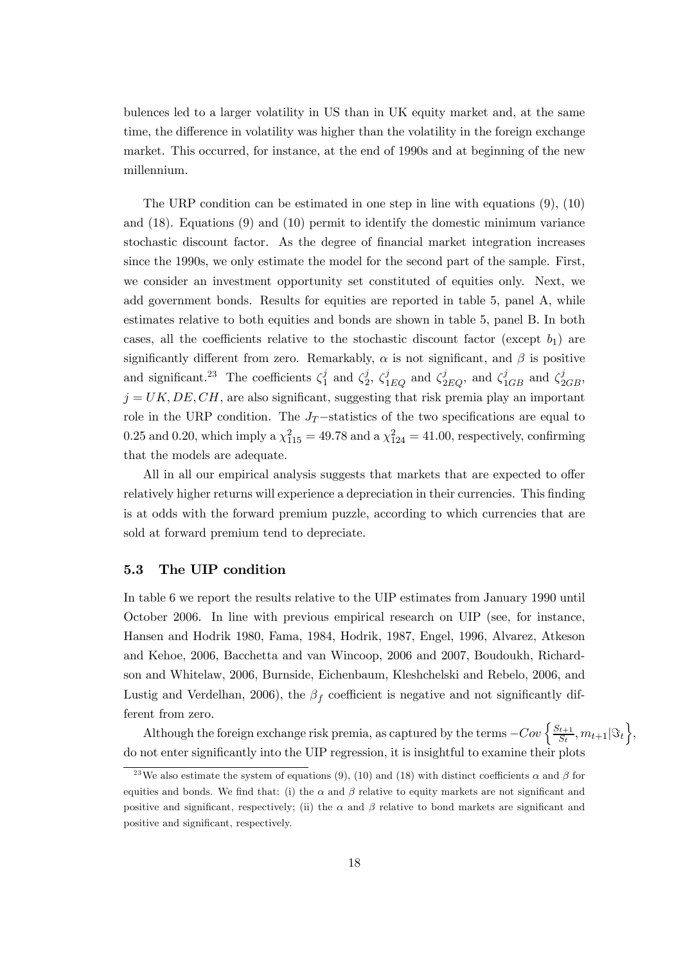bulences led to a larger volatility in US than in UK equity market and, at the same time, the difference in volatility was higher than the volatility in the foreign exchange market. This occurred, for instance, at the end of 1990s and at beginning of the new millennium.

The URP condition can be estimated in one step in line with equations (9), (10) and (18). Equations (9) and (10) permit to identify the domestic minimum variance stochastic discount factor. As the degree of financial market integration increases since the 1990s, we only estimate the model for the second part of the sample. First, we consider an investment opportunity set constituted of equities only. Next, we add government bonds. Results for equities are reported in table 5, panel A, while estimates relative to both equities and bonds are shown in table 5, panel B. In both cases, all the coefficients relative to the stochastic discount factor (except  $b_1$ ) are significantly different from zero. Remarkably,  $\alpha$  is not significant, and  $\beta$  is positive and significant.<sup>23</sup> The coefficients  $\zeta_1^j$  and  $\zeta_2^j$ ,  $\zeta_{1EQ}^j$  and  $\zeta_{2EQ}^j$ , and  $\zeta_{1GB}^j$  and  $\zeta_{2GB}^j$ ,  $j = UK, DE, CH$ , are also significant, suggesting that risk premia play an important role in the URP condition. The  $J_T$ -statistics of the two specifications are equal to 0.25 and 0.20, which imply a  $\chi_{115}^2 = 49.78$  and a  $\chi_{124}^2 = 41.00$ , respectively, confirming that the models are adequate.

All in all our empirical analysis suggests that markets that are expected to offer relatively higher returns will experience a depreciation in their currencies. This finding is at odds with the forward premium puzzle, according to which currencies that are sold at forward premium tend to depreciate.

#### 5.3 The UIP condition

In table 6 we report the results relative to the UIP estimates from January 1990 until October 2006. In line with previous empirical research on UIP (see, for instance, Hansen and Hodrik 1980, Fama, 1984, Hodrik, 1987, Engel, 1996, Alvarez, Atkeson and Kehoe, 2006, Bacchetta and van Wincoop, 2006 and 2007, Boudoukh, Richardson and Whitelaw, 2006, Burnside, Eichenbaum, Kleshchelski and Rebelo, 2006, and Lustig and Verdelhan, 2006), the  $\beta_f$  coefficient is negative and not significantly different from zero.

Although the foreign exchange risk premia, as captured by the terms  $-Cov\left\{\frac{S_{t+1}}{S_t}, m_{t+1}|\Im_t\right\}$ , do not enter significantly into the UIP regression, it is insightful to examine their plots

<sup>&</sup>lt;sup>23</sup>We also estimate the system of equations (9), (10) and (18) with distinct coefficients  $\alpha$  and  $\beta$  for equities and bonds. We find that: (i) the  $\alpha$  and  $\beta$  relative to equity markets are not significant and positive and significant, respectively; (ii) the  $\alpha$  and  $\beta$  relative to bond markets are significant and positive and significant, respectively.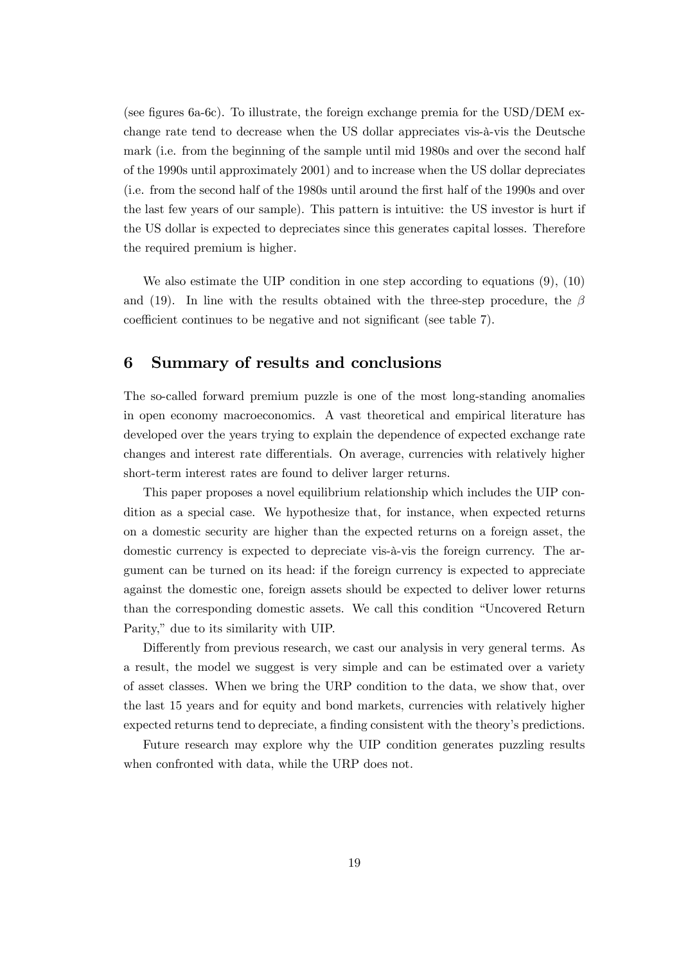(see figures 6a-6c). To illustrate, the foreign exchange premia for the USD/DEM exchange rate tend to decrease when the US dollar appreciates vis-à-vis the Deutsche mark (i.e. from the beginning of the sample until mid 1980s and over the second half of the 1990s until approximately 2001) and to increase when the US dollar depreciates (i.e. from the second half of the 1980s until around the first half of the 1990s and over the last few years of our sample). This pattern is intuitive: the US investor is hurt if the US dollar is expected to depreciates since this generates capital losses. Therefore the required premium is higher.

We also estimate the UIP condition in one step according to equations (9), (10) and (19). In line with the results obtained with the three-step procedure, the  $\beta$ coefficient continues to be negative and not significant (see table 7).

### 6 Summary of results and conclusions

The so-called forward premium puzzle is one of the most long-standing anomalies in open economy macroeconomics. A vast theoretical and empirical literature has developed over the years trying to explain the dependence of expected exchange rate changes and interest rate differentials. On average, currencies with relatively higher short-term interest rates are found to deliver larger returns.

This paper proposes a novel equilibrium relationship which includes the UIP condition as a special case. We hypothesize that, for instance, when expected returns on a domestic security are higher than the expected returns on a foreign asset, the domestic currency is expected to depreciate vis-à-vis the foreign currency. The argument can be turned on its head: if the foreign currency is expected to appreciate against the domestic one, foreign assets should be expected to deliver lower returns than the corresponding domestic assets. We call this condition "Uncovered Return Parity," due to its similarity with UIP.

Differently from previous research, we cast our analysis in very general terms. As a result, the model we suggest is very simple and can be estimated over a variety of asset classes. When we bring the URP condition to the data, we show that, over the last 15 years and for equity and bond markets, currencies with relatively higher expected returns tend to depreciate, a finding consistent with the theory's predictions.

Future research may explore why the UIP condition generates puzzling results when confronted with data, while the URP does not.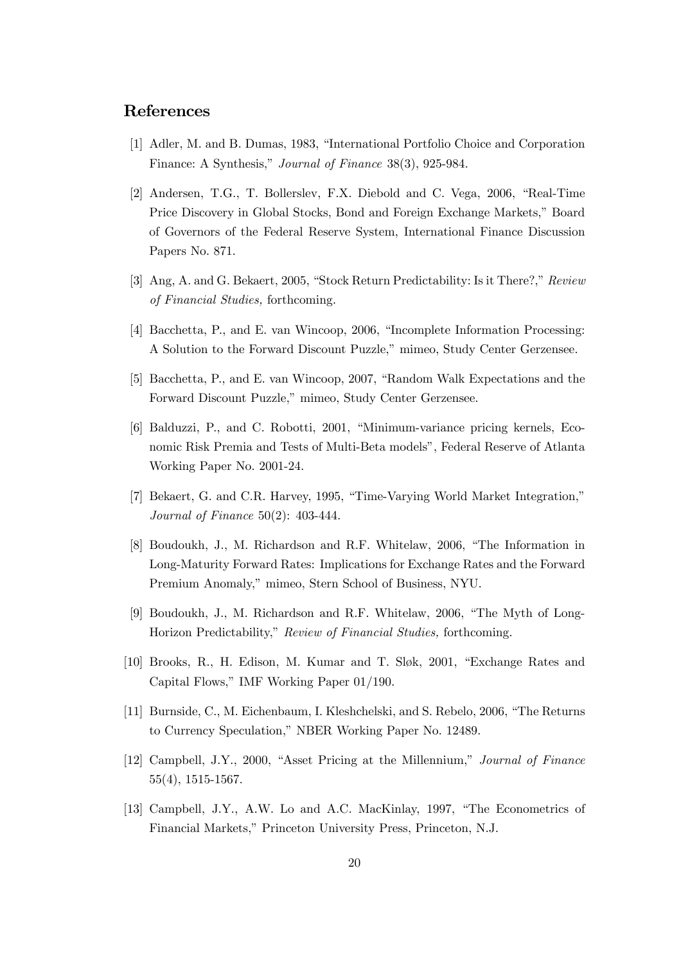### References

- [1] Adler, M. and B. Dumas, 1983, "International Portfolio Choice and Corporation Finance: A Synthesis," Journal of Finance 38(3), 925-984.
- [2] Andersen, T.G., T. Bollerslev, F.X. Diebold and C. Vega, 2006, "Real-Time Price Discovery in Global Stocks, Bond and Foreign Exchange Markets," Board of Governors of the Federal Reserve System, International Finance Discussion Papers No. 871.
- [3] Ang, A. and G. Bekaert, 2005, "Stock Return Predictability: Is it There?," Review of Financial Studies, forthcoming.
- [4] Bacchetta, P., and E. van Wincoop, 2006, "Incomplete Information Processing: A Solution to the Forward Discount Puzzle," mimeo, Study Center Gerzensee.
- [5] Bacchetta, P., and E. van Wincoop, 2007, "Random Walk Expectations and the Forward Discount Puzzle," mimeo, Study Center Gerzensee.
- [6] Balduzzi, P., and C. Robotti, 2001, "Minimum-variance pricing kernels, Economic Risk Premia and Tests of Multi-Beta models", Federal Reserve of Atlanta Working Paper No. 2001-24.
- [7] Bekaert, G. and C.R. Harvey, 1995, "Time-Varying World Market Integration," Journal of Finance 50(2): 403-444.
- [8] Boudoukh, J., M. Richardson and R.F. Whitelaw, 2006, "The Information in Long-Maturity Forward Rates: Implications for Exchange Rates and the Forward Premium Anomaly," mimeo, Stern School of Business, NYU.
- [9] Boudoukh, J., M. Richardson and R.F. Whitelaw, 2006, "The Myth of Long-Horizon Predictability," Review of Financial Studies, forthcoming.
- [10] Brooks, R., H. Edison, M. Kumar and T. Sløk, 2001, "Exchange Rates and Capital Flows," IMF Working Paper 01/190.
- [11] Burnside, C., M. Eichenbaum, I. Kleshchelski, and S. Rebelo, 2006, "The Returns to Currency Speculation," NBER Working Paper No. 12489.
- [12] Campbell, J.Y., 2000, "Asset Pricing at the Millennium," Journal of Finance 55(4), 1515-1567.
- [13] Campbell, J.Y., A.W. Lo and A.C. MacKinlay, 1997, "The Econometrics of Financial Markets," Princeton University Press, Princeton, N.J.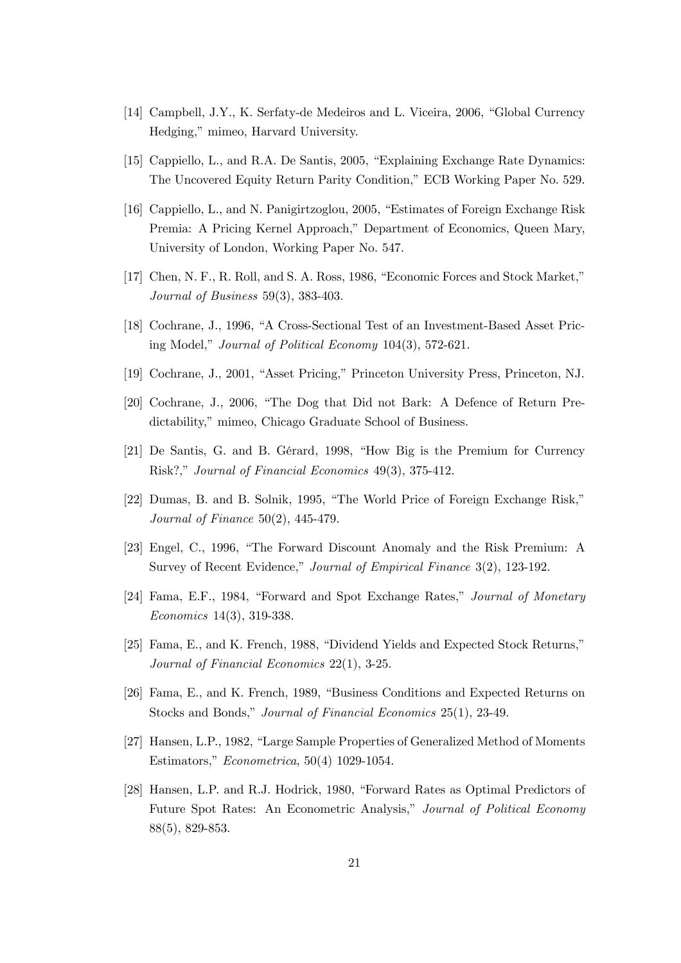- [14] Campbell, J.Y., K. Serfaty-de Medeiros and L. Viceira, 2006, "Global Currency Hedging," mimeo, Harvard University.
- [15] Cappiello, L., and R.A. De Santis, 2005, "Explaining Exchange Rate Dynamics: The Uncovered Equity Return Parity Condition," ECB Working Paper No. 529.
- [16] Cappiello, L., and N. Panigirtzoglou, 2005, "Estimates of Foreign Exchange Risk Premia: A Pricing Kernel Approach," Department of Economics, Queen Mary, University of London, Working Paper No. 547.
- [17] Chen, N. F., R. Roll, and S. A. Ross, 1986, "Economic Forces and Stock Market," Journal of Business 59(3), 383-403.
- [18] Cochrane, J., 1996, "A Cross-Sectional Test of an Investment-Based Asset Pricing Model," Journal of Political Economy 104(3), 572-621.
- [19] Cochrane, J., 2001, "Asset Pricing," Princeton University Press, Princeton, NJ.
- [20] Cochrane, J., 2006, "The Dog that Did not Bark: A Defence of Return Predictability," mimeo, Chicago Graduate School of Business.
- [21] De Santis, G. and B. Gérard, 1998, "How Big is the Premium for Currency Risk?," Journal of Financial Economics 49(3), 375-412.
- [22] Dumas, B. and B. Solnik, 1995, "The World Price of Foreign Exchange Risk," Journal of Finance 50(2), 445-479.
- [23] Engel, C., 1996, "The Forward Discount Anomaly and the Risk Premium: A Survey of Recent Evidence," Journal of Empirical Finance 3(2), 123-192.
- [24] Fama, E.F., 1984, "Forward and Spot Exchange Rates," Journal of Monetary Economics 14(3), 319-338.
- [25] Fama, E., and K. French, 1988, "Dividend Yields and Expected Stock Returns," Journal of Financial Economics 22(1), 3-25.
- [26] Fama, E., and K. French, 1989, "Business Conditions and Expected Returns on Stocks and Bonds," Journal of Financial Economics 25(1), 23-49.
- [27] Hansen, L.P., 1982, "Large Sample Properties of Generalized Method of Moments Estimators," Econometrica, 50(4) 1029-1054.
- [28] Hansen, L.P. and R.J. Hodrick, 1980, "Forward Rates as Optimal Predictors of Future Spot Rates: An Econometric Analysis," Journal of Political Economy 88(5), 829-853.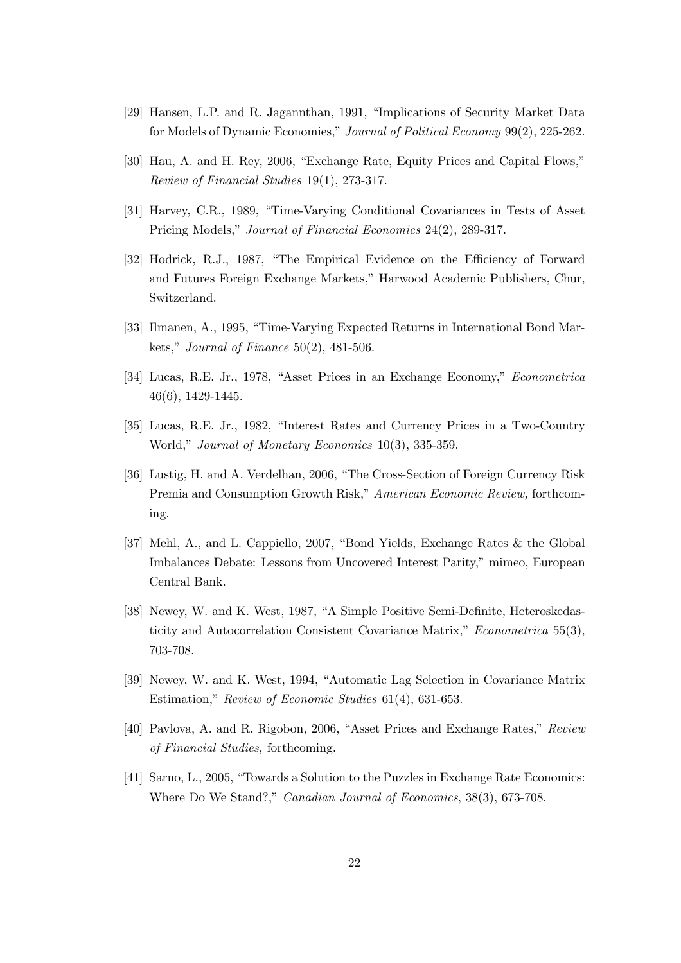- [29] Hansen, L.P. and R. Jagannthan, 1991, "Implications of Security Market Data for Models of Dynamic Economies," Journal of Political Economy 99(2), 225-262.
- [30] Hau, A. and H. Rey, 2006, "Exchange Rate, Equity Prices and Capital Flows," Review of Financial Studies 19(1), 273-317.
- [31] Harvey, C.R., 1989, "Time-Varying Conditional Covariances in Tests of Asset Pricing Models," Journal of Financial Economics 24(2), 289-317.
- [32] Hodrick, R.J., 1987, "The Empirical Evidence on the Efficiency of Forward and Futures Foreign Exchange Markets," Harwood Academic Publishers, Chur, Switzerland.
- [33] Ilmanen, A., 1995, "Time-Varying Expected Returns in International Bond Markets," Journal of Finance  $50(2)$ , 481-506.
- [34] Lucas, R.E. Jr., 1978, "Asset Prices in an Exchange Economy," Econometrica 46(6), 1429-1445.
- [35] Lucas, R.E. Jr., 1982, "Interest Rates and Currency Prices in a Two-Country World," Journal of Monetary Economics 10(3), 335-359.
- [36] Lustig, H. and A. Verdelhan, 2006, "The Cross-Section of Foreign Currency Risk Premia and Consumption Growth Risk," American Economic Review, forthcoming.
- [37] Mehl, A., and L. Cappiello, 2007, "Bond Yields, Exchange Rates & the Global Imbalances Debate: Lessons from Uncovered Interest Parity," mimeo, European Central Bank.
- [38] Newey, W. and K. West, 1987, "A Simple Positive Semi-Definite, Heteroskedasticity and Autocorrelation Consistent Covariance Matrix," Econometrica 55(3), 703-708.
- [39] Newey, W. and K. West, 1994, "Automatic Lag Selection in Covariance Matrix Estimation," Review of Economic Studies 61(4), 631-653.
- [40] Pavlova, A. and R. Rigobon, 2006, "Asset Prices and Exchange Rates," Review of Financial Studies, forthcoming.
- [41] Sarno, L., 2005, "Towards a Solution to the Puzzles in Exchange Rate Economics: Where Do We Stand?," Canadian Journal of Economics, 38(3), 673-708.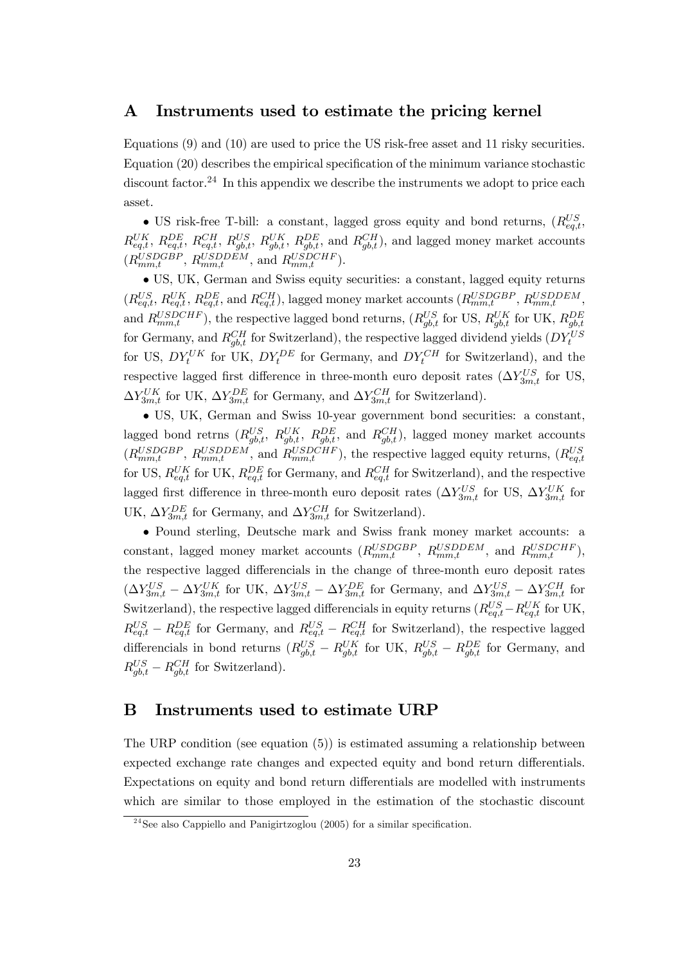### A Instruments used to estimate the pricing kernel

Equations (9) and (10) are used to price the US risk-free asset and 11 risky securities. Equation (20) describes the empirical specification of the minimum variance stochastic discount factor.<sup>24</sup> In this appendix we describe the instruments we adopt to price each asset.

• US risk-free T-bill: a constant, lagged gross equity and bond returns,  $(R_{eq,t}^{US},$  $R_{eq,t}^{UK}, R_{eq,t}^{DE}, R_{eq,t}^{CH}, R_{gb,t}^{US}, R_{gb,t}^{UK}, R_{gb,t}^{DE}$ , and  $R_{gb,t}^{CH}$ ), and lagged money market accounts  $(R_{mm,t}^{USDGBP}, R_{mm,t}^{USDDEM}, \text{ and } R_{mm,t}^{USDCHF}).$ 

• US, UK, German and Swiss equity securities: a constant, lagged equity returns  $(R_{eq,t}^{US}, R_{eq,t}^{UK}, R_{eq,t}^{DE}, \text{ and } R_{eq,t}^{CH})$ , lagged money market accounts  $(R_{mm,t}^{USDGBP}, R_{mm,t}^{USDDEM},$ and  $R_{mm,t}^{USDCHF}$ ), the respective lagged bond returns,  $(R_{gb,t}^{US}$  for US,  $R_{gb,t}^{UK}$  for UK,  $R_{gb,t}^{DE}$ for Germany, and  $R_{gb,t}^{CH}$  for Switzerland), the respective lagged dividend yields  $(DY_t^{US})$ for US,  $DY_t^{UK}$  for UK,  $DY_t^{DE}$  for Germany, and  $DY_t^{CH}$  for Switzerland), and the respective lagged first difference in three-month euro deposit rates  $(\Delta Y_{3m,t}^{US}$  for US,  $\Delta Y_{3m,t}^{UK}$  for UK,  $\Delta Y_{3m,t}^{DE}$  for Germany, and  $\Delta Y_{3m,t}^{CH}$  for Switzerland).

• US, UK, German and Swiss 10-year government bond securities: a constant, lagged bond retrns  $(R_{gb,t}^{US}, R_{gb,t}^{UK}, R_{gb,t}^{DE},$  and  $R_{gb,t}^{CH}$ ), lagged money market accounts  $(R_{mm,t}^{USDGBP}, R_{mm,t}^{USDDEM}, \text{ and } R_{mm,t}^{USDCHF})$ , the respective lagged equity returns,  $(R_{eq,t}^{USDGBP}, R_{mm,t}^{USDDEM})$ for US,  $R_{eq,t}^{UK}$  for UK,  $R_{eq,t}^{DE}$  for Germany, and  $R_{eq,t}^{CH}$  for Switzerland), and the respective lagged first difference in three-month euro deposit rates ( $\Delta Y_{3m,t}^{US}$  for US,  $\Delta Y_{3m,t}^{UK}$  for UK,  $\Delta Y_{3m,t}^{DE}$  for Germany, and  $\Delta Y_{3m,t}^{CH}$  for Switzerland).

• Pound sterling, Deutsche mark and Swiss frank money market accounts: a constant, lagged money market accounts  $(R_{mm,t}^{USDGBP}, R_{mm,t}^{USDDEM},$  and  $R_{mm,t}^{USDCHF}),$ the respective lagged differencials in the change of three-month euro deposit rates  $(\Delta Y_{3m,t}^{US} - \Delta Y_{3m,t}^{UK}$  for UK,  $\Delta Y_{3m,t}^{US} - \Delta Y_{3m,t}^{DE}$  for Germany, and  $\Delta Y_{3m,t}^{US} - \Delta Y_{3m,t}^{CH}$  for Switzerland), the respective lagged differencials in equity returns  $(R_{eq,t}^{US} - R_{eq,t}^{UK}$  for UK,  $R_{eq,t}^{US}$  –  $R_{eq,t}^{DE}$  for Germany, and  $R_{eq,t}^{US}$  –  $R_{eq,t}^{CH}$  for Switzerland), the respective lagged differencials in bond returns  $(R_{gb,t}^{US} - R_{gb,t}^{UK}$  for UK,  $R_{gb,t}^{US} - R_{gb,t}^{DE}$  for Germany, and  $R_{gb,t}^{US} - R_{gb,t}^{CH}$  for Switzerland).

### B Instruments used to estimate URP

The URP condition (see equation (5)) is estimated assuming a relationship between expected exchange rate changes and expected equity and bond return differentials. Expectations on equity and bond return differentials are modelled with instruments which are similar to those employed in the estimation of the stochastic discount

<sup>&</sup>lt;sup>24</sup>See also Cappiello and Panigirtzoglou (2005) for a similar specification.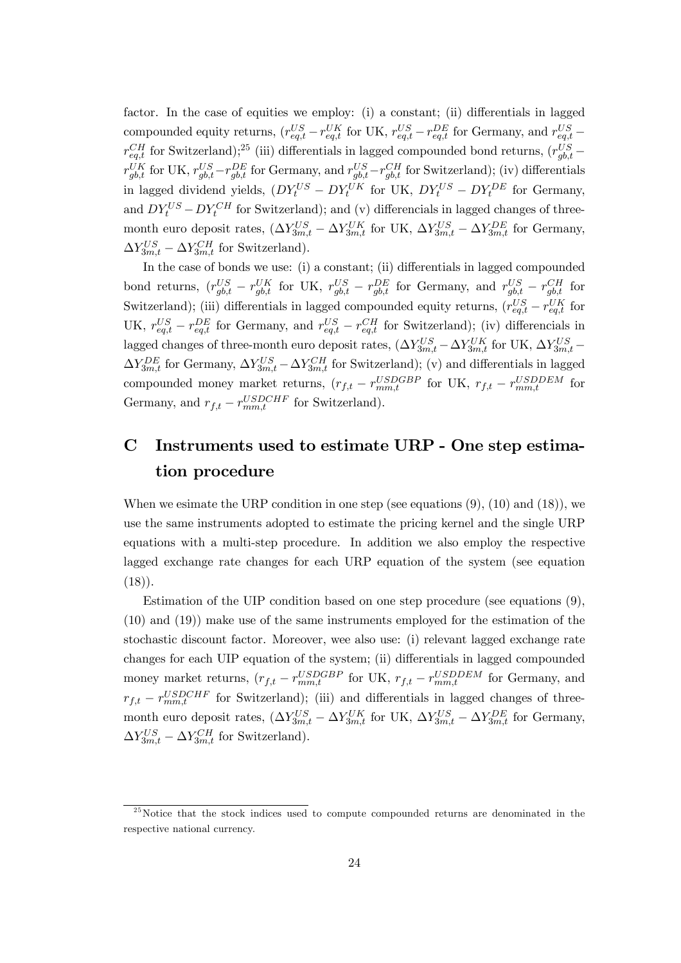factor. In the case of equities we employ: (i) a constant; (ii) differentials in lagged compounded equity returns,  $(r_{eq,t}^{US} - r_{eq,t}^{UK}$  for UK,  $r_{eq,t}^{US} - r_{eq,t}^{DE}$  for Germany, and  $r_{eq,t}^{US}$  –  $r_{eq,t}^{CH}$  for Switzerland);<sup>25</sup> (iii) differentials in lagged compounded bond returns,  $(r_{gb,t}^{US}$  $r_{gb,t}^{UK}$  for UK,  $r_{gb,t}^{US} - r_{gb,t}^{DE}$  for Germany, and  $r_{gb,t}^{US} - r_{gb,t}^{CH}$  for Switzerland); (iv) differentials in lagged dividend yields,  $(DY_t^{US} - DY_t^{UK}$  for UK,  $DY_t^{US} - DY_t^{DE}$  for Germany, and  $DY_t^{US} - DY_t^{CH}$  for Switzerland); and (v) differencials in lagged changes of threemonth euro deposit rates,  $(\Delta Y_{3m,t}^{US} - \Delta Y_{3m,t}^{UK}$  for UK,  $\Delta Y_{3m,t}^{US} - \Delta Y_{3m,t}^{DE}$  for Germany,  $\Delta Y_{3m,t}^{US} - \Delta Y_{3m,t}^{CH}$  for Switzerland).

In the case of bonds we use: (i) a constant; (ii) differentials in lagged compounded bond returns,  $(r_{gb,t}^{US} - r_{gb,t}^{UK}$  for UK,  $r_{gb,t}^{US} - r_{gb,t}^{DE}$  for Germany, and  $r_{gb,t}^{US} - r_{gb,t}^{CH}$  for Switzerland); (iii) differentials in lagged compounded equity returns,  $(r_{eq,t}^{US} - r_{eq,t}^{UK})$  for UK,  $r_{eq,t}^{US} - r_{eq,t}^{DE}$  for Germany, and  $r_{eq,t}^{US} - r_{eq,t}^{CH}$  for Switzerland); (iv) differencials in lagged changes of three-month euro deposit rates,  $(\Delta Y_{3m,t}^{US} - \Delta Y_{3m,t}^{UK}$  for UK,  $\Delta Y_{3m,t}^{US}$  –  $\Delta Y_{3m,t}^{DE}$  for Germany,  $\Delta Y_{3m,t}^{US} - \Delta Y_{3m,t}^{CH}$  for Switzerland); (v) and differentials in lagged compounded money market returns,  $(r_{f,t} - r_{mm,t}^{USDGBP}$  for UK,  $r_{f,t} - r_{mm,t}^{USDDEM}$  for Germany, and  $r_{f,t} - r_{mm,t}^{USDCHF}$  for Switzerland).

# C Instruments used to estimate URP - One step estimation procedure

When we esimate the URP condition in one step (see equations  $(9)$ ,  $(10)$  and  $(18)$ ), we use the same instruments adopted to estimate the pricing kernel and the single URP equations with a multi-step procedure. In addition we also employ the respective lagged exchange rate changes for each URP equation of the system (see equation  $(18)$ .

Estimation of the UIP condition based on one step procedure (see equations (9), (10) and (19)) make use of the same instruments employed for the estimation of the stochastic discount factor. Moreover, wee also use: (i) relevant lagged exchange rate changes for each UIP equation of the system; (ii) differentials in lagged compounded money market returns,  $(r_{f,t} - r_{mm,t}^{USDGBP}$  for UK,  $r_{f,t} - r_{mm,t}^{USDDEM}$  for Germany, and  $r_{f,t} - r_{mm,t}^{USDCHF}$  for Switzerland); (iii) and differentials in lagged changes of threemonth euro deposit rates,  $(\Delta Y_{3m,t}^{US} - \Delta Y_{3m,t}^{UK}$  for UK,  $\Delta Y_{3m,t}^{US} - \Delta Y_{3m,t}^{DE}$  for Germany,  $\Delta Y_{3m,t}^{US} - \Delta Y_{3m,t}^{CH}$  for Switzerland).

 $25$ Notice that the stock indices used to compute compounded returns are denominated in the respective national currency.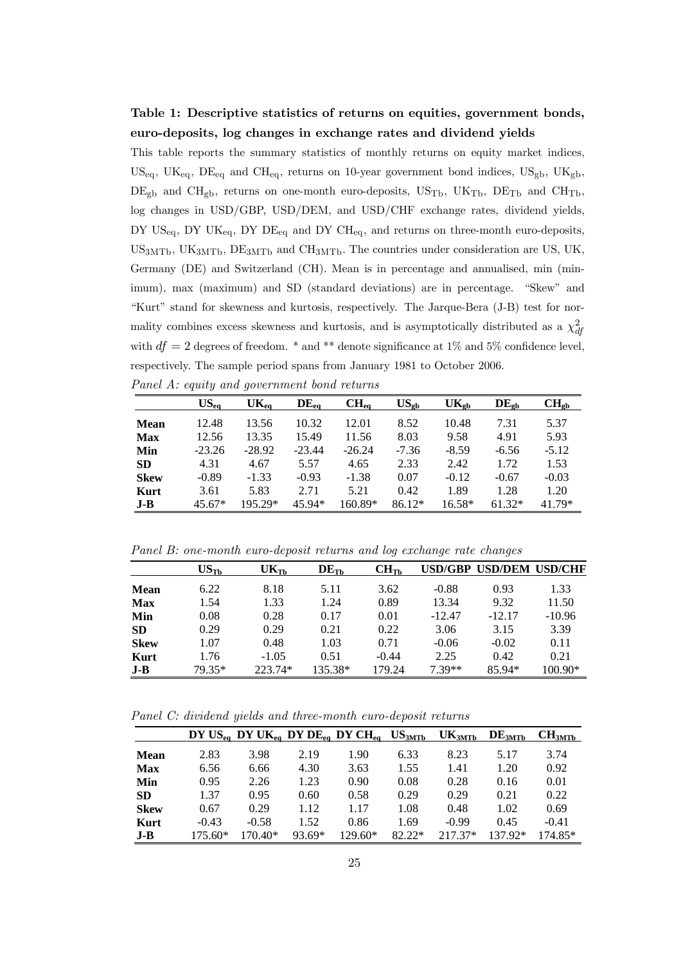# Table 1: Descriptive statistics of returns on equities, government bonds, euro-deposits, log changes in exchange rates and dividend yields

This table reports the summary statistics of monthly returns on equity market indices,  $US_{eq}$ ,  $UK_{eq}$ ,  $DE_{eq}$  and  $CH_{eq}$ , returns on 10-year government bond indices,  $US_{gb}$ ,  $UK_{gb}$ ,  $DE_{gb}$  and  $CH_{gb}$ , returns on one-month euro-deposits,  $US_{Tb}$ ,  $UK_{Tb}$ ,  $DE_{Tb}$  and  $CH_{Tb}$ , log changes in USD/GBP, USD/DEM, and USD/CHF exchange rates, dividend yields, DY  $US_{eq}$ , DY UK<sub>eq</sub>, DY DE<sub>eq</sub> and DY CH<sub>eq</sub>, and returns on three-month euro-deposits,  $US_{3MTb}$ , UK<sub>3MTb</sub>, DE<sub>3MTb</sub> and CH<sub>3MTb</sub>. The countries under consideration are US, UK, Germany (DE) and Switzerland (CH). Mean is in percentage and annualised, min (minimum), max (maximum) and SD (standard deviations) are in percentage. "Skew" and "Kurt" stand for skewness and kurtosis, respectively. The Jarque-Bera (J-B) test for normality combines excess skewness and kurtosis, and is asymptotically distributed as a  $\chi^2_{df}$ with  $df = 2$  degrees of freedom. \* and \*\* denote significance at 1% and 5% confidence level, respectively. The sample period spans from January 1981 to October 2006.

|  |  |  |  | Panel A: equity and government bond returns |  |  |
|--|--|--|--|---------------------------------------------|--|--|
|--|--|--|--|---------------------------------------------|--|--|

|             | $US_{ea}$ | $\mathrm{UK}_{\mathrm{ea}}$ | $DE_{eq}$ | $\mathbf{CH}_{\mathbf{eq}}$ | $US_{cb}$ | $\mathrm{UK}_{\mathrm{gb}}$ | $DE_{gb}$ | $\mathrm{CH}_\mathrm{gb}$ |
|-------------|-----------|-----------------------------|-----------|-----------------------------|-----------|-----------------------------|-----------|---------------------------|
| <b>Mean</b> | 12.48     | 13.56                       | 10.32     | 12.01                       | 8.52      | 10.48                       | 7.31      | 5.37                      |
| <b>Max</b>  | 12.56     | 13.35                       | 15.49     | 11.56                       | 8.03      | 9.58                        | 4.91      | 5.93                      |
| Min         | $-23.26$  | $-28.92$                    | $-23.44$  | $-26.24$                    | $-7.36$   | $-8.59$                     | $-6.56$   | $-5.12$                   |
| <b>SD</b>   | 4.31      | 4.67                        | 5.57      | 4.65                        | 2.33      | 2.42                        | 1.72      | 1.53                      |
| <b>Skew</b> | $-0.89$   | $-1.33$                     | $-0.93$   | $-1.38$                     | 0.07      | $-0.12$                     | $-0.67$   | $-0.03$                   |
| <b>Kurt</b> | 3.61      | 5.83                        | 2.71      | 5.21                        | 0.42      | 1.89                        | 1.28      | 1.20                      |
| $J-B$       | $45.67*$  | 195.29*                     | 45.94*    | 160.89*                     | $86.12*$  | $16.58*$                    | $61.32*$  | 41.79*                    |

Panel B: one-month euro-deposit returns and log exchange rate changes

|             | $US_{Tb}$ | $UK_{Tb}$ | $DE$ <sub>Th</sub> | $CH_{Th}$ |          | USD/GBP USD/DEM USD/CHF |           |
|-------------|-----------|-----------|--------------------|-----------|----------|-------------------------|-----------|
| Mean        | 6.22      | 8.18      | 5.11               | 3.62      | $-0.88$  | 0.93                    | 1.33      |
| <b>Max</b>  | 1.54      | 1.33      | 1.24               | 0.89      | 13.34    | 9.32                    | 11.50     |
| Min         | 0.08      | 0.28      | 0.17               | 0.01      | $-12.47$ | $-12.17$                | $-10.96$  |
| <b>SD</b>   | 0.29      | 0.29      | 0.21               | 0.22      | 3.06     | 3.15                    | 3.39      |
| <b>Skew</b> | 1.07      | 0.48      | 1.03               | 0.71      | $-0.06$  | $-0.02$                 | 0.11      |
| Kurt        | 1.76      | $-1.05$   | 0.51               | $-0.44$   | 2.25     | 0.42                    | 0.21      |
| $J-B$       | 79.35*    | 223.74*   | 135.38*            | 179.24    | $7.39**$ | 85.94*                  | $100.90*$ |

Panel C: dividend yields and three-month euro-deposit returns

|             |           |         |        | DY US <sub>eq</sub> DY UK <sub>eq</sub> DY DE <sub>eq</sub> DY CH <sub>eq</sub> | $\mathrm{US}_{3\underline{\mathrm{MTb}}}$ | $\mathrm{UK}_{3\mathrm{MTb}}$ | DE <sub>3MTb</sub> | $CH_{3MTb}$ |
|-------------|-----------|---------|--------|---------------------------------------------------------------------------------|-------------------------------------------|-------------------------------|--------------------|-------------|
| <b>Mean</b> | 2.83      | 3.98    | 2.19   | 1.90                                                                            | 6.33                                      | 8.23                          | 5.17               | 3.74        |
| Max         | 6.56      | 6.66    | 4.30   | 3.63                                                                            | 1.55                                      | 1.41                          | 1.20               | 0.92        |
| Min         | 0.95      | 2.26    | 1.23   | 0.90                                                                            | 0.08                                      | 0.28                          | 0.16               | 0.01        |
| <b>SD</b>   | 1.37      | 0.95    | 0.60   | 0.58                                                                            | 0.29                                      | 0.29                          | 0.21               | 0.22        |
| <b>Skew</b> | 0.67      | 0.29    | 1.12   | 1.17                                                                            | 1.08                                      | 0.48                          | 1.02               | 0.69        |
| Kurt        | $-0.43$   | $-0.58$ | 1.52   | 0.86                                                                            | 1.69                                      | $-0.99$                       | 0.45               | $-0.41$     |
| $J-B$       | $175.60*$ | 170.40* | 93.69* | 129.60*                                                                         | 82.22*                                    | $217.37*$                     | 137.92*            | 174.85*     |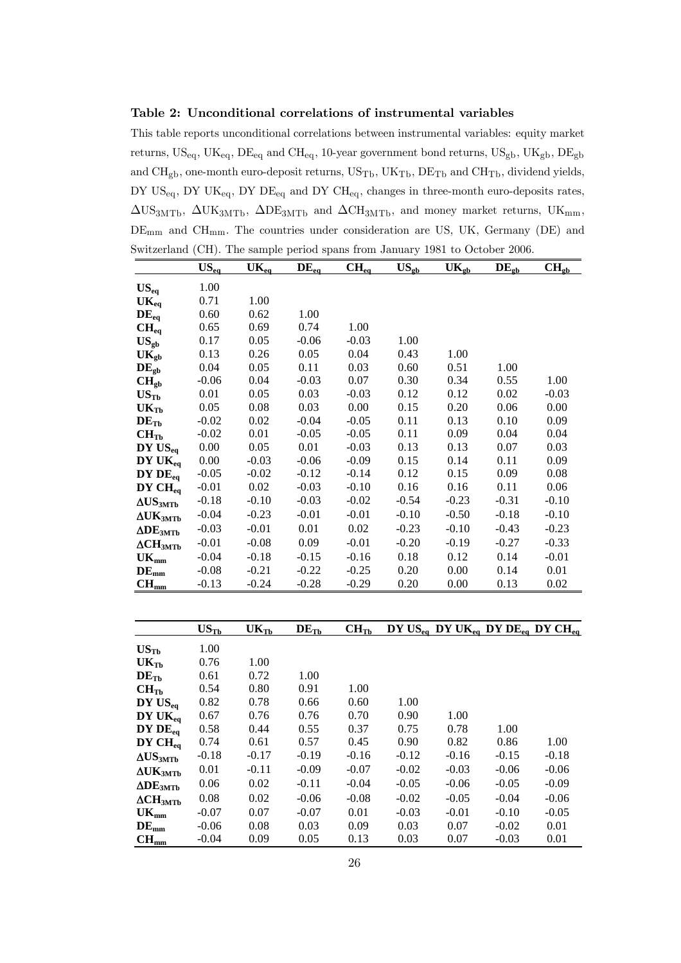Table 2: Unconditional correlations of instrumental variables

This table reports unconditional correlations between instrumental variables: equity market returns,  $\text{US}_{\text{eq}},$   $\text{UK}_{\text{eq}},$   $\text{DE}_{\text{eq}}$  and  $\text{CH}_{\text{eq}},$   $10\text{-year}$  government bond returns,  $\text{US}_{\text{gb}},$   $\text{UK}_{\text{gb}},$   $\text{DE}_{\text{gb}}$ and CH<sub>gb</sub>, one-month euro-deposit returns,  $US_{Tb}$ ,  $UK_{Tb}$ ,  $DE_{Tb}$  and  $CH_{Tb}$ , dividend yields, DY  $\mathrm{US}_{\mathrm{eq}},$  DY  $\mathrm{UK}_{\mathrm{eq}},$  DY  $\mathrm{DE}_{\mathrm{eq}}$  and DY  $\mathrm{CH}_{\mathrm{eq}},$  changes in three-month euro-deposits rates,  $\Delta$ US<sub>3MTb</sub>,  $\Delta$ UK<sub>3MTb</sub>,  $\Delta$ DE<sub>3MTb</sub> and  $\Delta$ CH<sub>3MTb</sub>, and money market returns, UK<sub>mm</sub>,  $DE_{mm}$  and  $CH_{mm}$ . The countries under consideration are US, UK, Germany (DE) and Switzerland (CH). The sample period spans from January 1981 to October 2006.

|                             | $US_{eq}$ | $UK_{eq}$ | $DE_{eq}$ | $CH_{eq}$ | $US_{gb}$ | $UK_{gb}$ | $DE_{gb}$ | $CH_{cb}$ |
|-----------------------------|-----------|-----------|-----------|-----------|-----------|-----------|-----------|-----------|
| $US_{eq}$                   | 1.00      |           |           |           |           |           |           |           |
| $UK_{eq}$                   | 0.71      | 1.00      |           |           |           |           |           |           |
| $DE_{eq}$                   | 0.60      | 0.62      | 1.00      |           |           |           |           |           |
| $CH_{eq}$                   | 0.65      | 0.69      | 0.74      | 1.00      |           |           |           |           |
| $US_{gb}$                   | 0.17      | 0.05      | $-0.06$   | $-0.03$   | 1.00      |           |           |           |
| $UK_{gb}$                   | 0.13      | 0.26      | 0.05      | 0.04      | 0.43      | 1.00      |           |           |
| $DE_{gb}$                   | 0.04      | 0.05      | 0.11      | 0.03      | 0.60      | 0.51      | 1.00      |           |
| $CH_{cb}$                   | $-0.06$   | 0.04      | $-0.03$   | 0.07      | 0.30      | 0.34      | 0.55      | 1.00      |
| $US_{Tb}$                   | 0.01      | 0.05      | 0.03      | $-0.03$   | 0.12      | 0.12      | 0.02      | $-0.03$   |
| $UK_{Tb}$                   | 0.05      | 0.08      | 0.03      | 0.00      | 0.15      | 0.20      | 0.06      | 0.00      |
| $DE$ <sub>Tb</sub>          | $-0.02$   | 0.02      | $-0.04$   | $-0.05$   | 0.11      | 0.13      | 0.10      | 0.09      |
| CH <sub>Tb</sub>            | $-0.02$   | 0.01      | $-0.05$   | $-0.05$   | 0.11      | 0.09      | 0.04      | 0.04      |
| DY US <sub>eq</sub>         | 0.00      | 0.05      | 0.01      | $-0.03$   | 0.13      | 0.13      | 0.07      | 0.03      |
| $DY$ UK $_{eq}$             | 0.00      | $-0.03$   | $-0.06$   | $-0.09$   | 0.15      | 0.14      | 0.11      | 0.09      |
| $DY$ $DE_{eq}$              | $-0.05$   | $-0.02$   | $-0.12$   | $-0.14$   | 0.12      | 0.15      | 0.09      | 0.08      |
| $DYCH_{eq}$                 | $-0.01$   | 0.02      | $-0.03$   | $-0.10$   | 0.16      | 0.16      | 0.11      | 0.06      |
| $\Delta US_{3MTb}$          | $-0.18$   | $-0.10$   | $-0.03$   | $-0.02$   | $-0.54$   | $-0.23$   | $-0.31$   | $-0.10$   |
| $\Delta$ UK <sub>3MTb</sub> | $-0.04$   | $-0.23$   | $-0.01$   | $-0.01$   | $-0.10$   | $-0.50$   | $-0.18$   | $-0.10$   |
| $\Delta$ D $E_{3MTb}$       | $-0.03$   | $-0.01$   | 0.01      | 0.02      | $-0.23$   | $-0.10$   | $-0.43$   | $-0.23$   |
| $\Delta CH_{3MTb}$          | $-0.01$   | $-0.08$   | 0.09      | $-0.01$   | $-0.20$   | $-0.19$   | $-0.27$   | $-0.33$   |
| $\mathbf{UK}_{\text{mm}}$   | $-0.04$   | $-0.18$   | $-0.15$   | $-0.16$   | 0.18      | 0.12      | 0.14      | $-0.01$   |
| $\text{DE}_{\text{mm}}$     | $-0.08$   | $-0.21$   | $-0.22$   | $-0.25$   | 0.20      | 0.00      | 0.14      | 0.01      |
| $CH_{mm}$                   | $-0.13$   | $-0.24$   | $-0.28$   | $-0.29$   | 0.20      | 0.00      | 0.13      | 0.02      |

|                             | $US_{Tb}$ | $UK_{Tb}$ | $DE$ <sub>Tb</sub> | $CH_{Tb}$ |         | DY USeq DY UKeq DY DE <sub>eq</sub> DY CH <sub>eq</sub> |         |         |
|-----------------------------|-----------|-----------|--------------------|-----------|---------|---------------------------------------------------------|---------|---------|
| $US_{Tb}$                   | 1.00      |           |                    |           |         |                                                         |         |         |
| UK <sub>Th</sub>            | 0.76      | 1.00      |                    |           |         |                                                         |         |         |
| $DE$ <sub>Th</sub>          | 0.61      | 0.72      | 1.00               |           |         |                                                         |         |         |
| CH <sub>Th</sub>            | 0.54      | 0.80      | 0.91               | 1.00      |         |                                                         |         |         |
| $DYUS_{eq}$                 | 0.82      | 0.78      | 0.66               | 0.60      | 1.00    |                                                         |         |         |
| $DY$ UK $_{eq}$             | 0.67      | 0.76      | 0.76               | 0.70      | 0.90    | 1.00                                                    |         |         |
| $DY$ $DE_{eq}$              | 0.58      | 0.44      | 0.55               | 0.37      | 0.75    | 0.78                                                    | 1.00    |         |
| $DYCH_{eq}$                 | 0.74      | 0.61      | 0.57               | 0.45      | 0.90    | 0.82                                                    | 0.86    | 1.00    |
| $\Delta US_{3MTb}$          | $-0.18$   | $-0.17$   | $-0.19$            | $-0.16$   | $-0.12$ | $-0.16$                                                 | $-0.15$ | $-0.18$ |
| $\Delta$ UK <sub>3MTb</sub> | 0.01      | $-0.11$   | $-0.09$            | $-0.07$   | $-0.02$ | $-0.03$                                                 | $-0.06$ | $-0.06$ |
| $ADE_{3MTb}$                | 0.06      | 0.02      | $-0.11$            | $-0.04$   | $-0.05$ | $-0.06$                                                 | $-0.05$ | $-0.09$ |
| $\Delta CH_{3MTb}$          | 0.08      | 0.02      | $-0.06$            | $-0.08$   | $-0.02$ | $-0.05$                                                 | $-0.04$ | $-0.06$ |
| $\mathbf{UK}_{\text{mm}}$   | $-0.07$   | 0.07      | $-0.07$            | 0.01      | $-0.03$ | $-0.01$                                                 | $-0.10$ | $-0.05$ |
| $DE_{mm}$                   | $-0.06$   | 0.08      | 0.03               | 0.09      | 0.03    | 0.07                                                    | $-0.02$ | 0.01    |
| $CH_{mm}$                   | $-0.04$   | 0.09      | 0.05               | 0.13      | 0.03    | 0.07                                                    | $-0.03$ | 0.01    |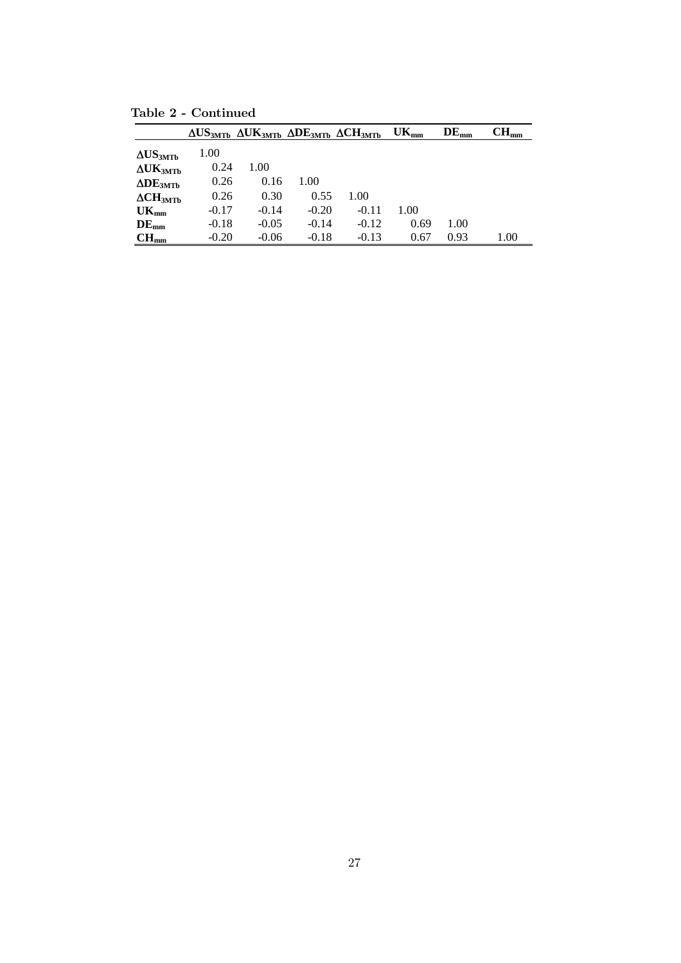|                             |         | $\Delta US_{3MTb}$ $\Delta UK_{3MTb}$ $\Delta DE_{3MTb}$ $\Delta CH_{3MTb}$ |         |         | $\mathbf{UK}_{\text{mm}}$ | $DE_{mm}$ | $\mathrm{CH}_{\mathrm{mm}}$ |
|-----------------------------|---------|-----------------------------------------------------------------------------|---------|---------|---------------------------|-----------|-----------------------------|
| $\Delta US_{3MTb}$          | 1.00    |                                                                             |         |         |                           |           |                             |
| $\Delta$ UK <sub>3MTb</sub> | 0.24    | 1.00                                                                        |         |         |                           |           |                             |
| $ADE_{3MTb}$                | 0.26    | 0.16                                                                        | 1.00    |         |                           |           |                             |
| $\Delta CH_{3MTb}$          | 0.26    | 0.30                                                                        | 0.55    | 1.00    |                           |           |                             |
| $\mathbf{UK}_{\text{mm}}$   | $-0.17$ | $-0.14$                                                                     | $-0.20$ | $-0.11$ | 1.00                      |           |                             |
| $DE_{mm}$                   | $-0.18$ | $-0.05$                                                                     | $-0.14$ | $-0.12$ | 0.69                      | 1.00      |                             |
| $CH_{mm}$                   | $-0.20$ | $-0.06$                                                                     | $-0.18$ | $-0.13$ | 0.67                      | 0.93      | 1.00                        |

Table 2 - Continued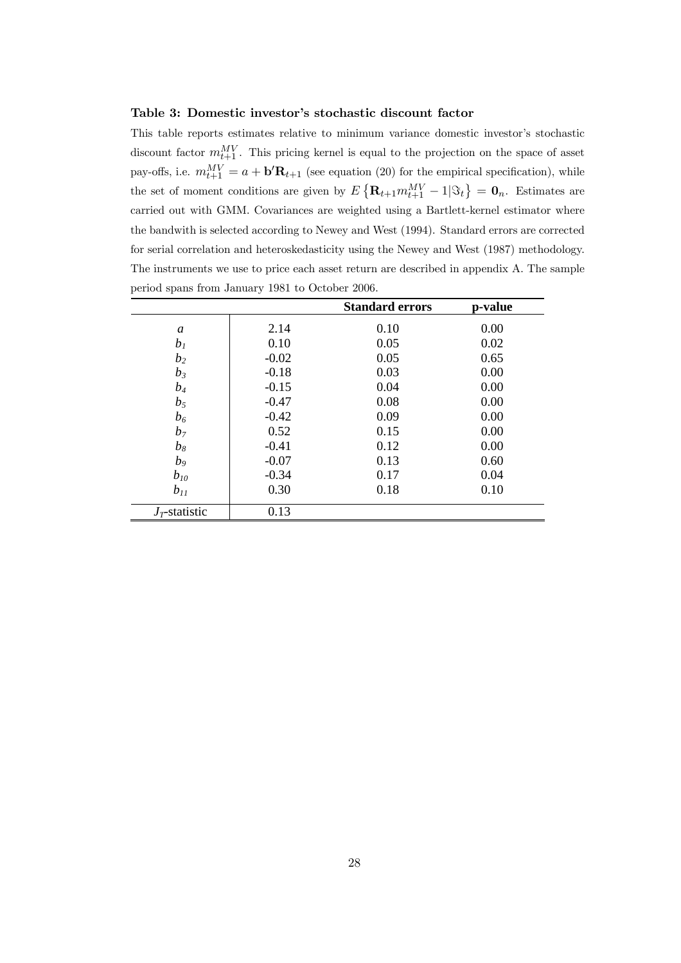#### Table 3: Domestic investor's stochastic discount factor

This table reports estimates relative to minimum variance domestic investor's stochastic discount factor  $m_{t+1}^{MV}$ . This pricing kernel is equal to the projection on the space of asset pay-offs, i.e.  $m_{t+1}^{MV} = a + \mathbf{b}' \mathbf{R}_{t+1}$  (see equation (20) for the empirical specification), while the set of moment conditions are given by  $E\left\{ \mathbf{R}_{t+1}m_{t+1}^{MV}-1|\Im _{t}\right\} =\mathbf{0}_{n}$ . Estimates are carried out with GMM. Covariances are weighted using a Bartlett-kernel estimator where the bandwith is selected according to Newey and West (1994). Standard errors are corrected for serial correlation and heteroskedasticity using the Newey and West (1987) methodology. The instruments we use to price each asset return are described in appendix A. The sample period spans from January 1981 to October 2006.

|                  |         | <b>Standard errors</b> | p-value |
|------------------|---------|------------------------|---------|
| a                | 2.14    | 0.10                   | 0.00    |
| $b_I$            | 0.10    | 0.05                   | 0.02    |
| b <sub>2</sub>   | $-0.02$ | 0.05                   | 0.65    |
| $b_3$            | $-0.18$ | 0.03                   | 0.00    |
| $b_4$            | $-0.15$ | 0.04                   | 0.00    |
| b <sub>5</sub>   | $-0.47$ | 0.08                   | 0.00    |
| $b_6$            | $-0.42$ | 0.09                   | 0.00    |
| $b_7$            | 0.52    | 0.15                   | 0.00    |
| $b_8$            | $-0.41$ | 0.12                   | 0.00    |
| $b_9$            | $-0.07$ | 0.13                   | 0.60    |
| $b_{10}$         | $-0.34$ | 0.17                   | 0.04    |
| $b_{11}$         | 0.30    | 0.18                   | 0.10    |
| $J_T$ -statistic | 0.13    |                        |         |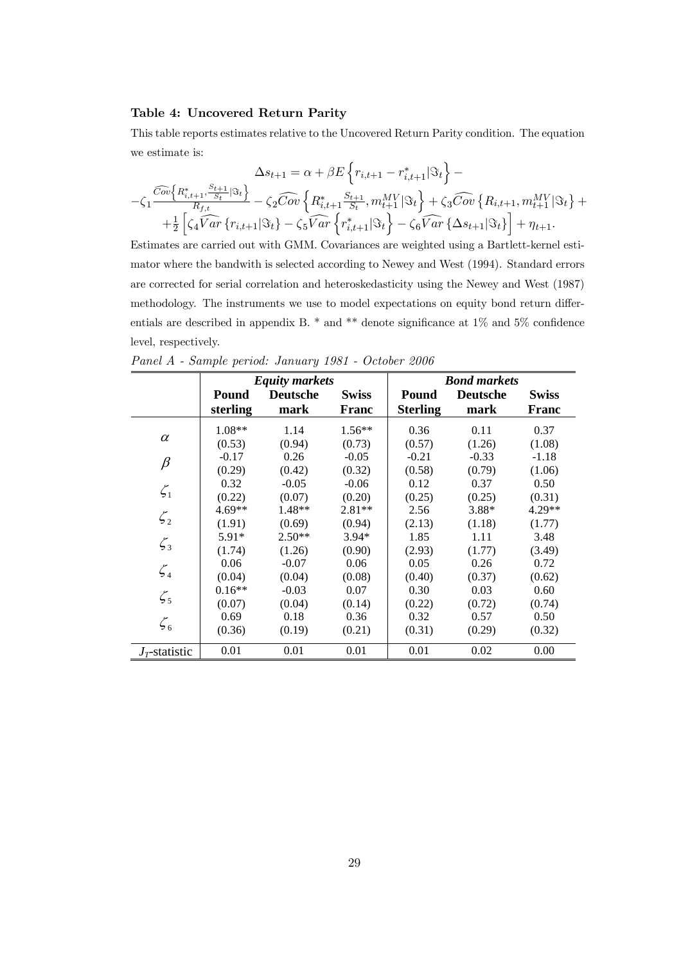### Table 4: Uncovered Return Parity

This table reports estimates relative to the Uncovered Return Parity condition. The equation we estimate is:

$$
\Delta s_{t+1} = \alpha + \beta E \left\{ r_{i,t+1} - r_{i,t+1}^* | \Im_t \right\} - \zeta_1 \frac{\widehat{Cov} \left\{ R_{i,t+1}^*, \frac{S_{t+1}}{S_t} | \Im_t \right\}}{R_{f,t}} - \zeta_2 \widehat{Cov} \left\{ R_{i,t+1}^* \frac{S_{t+1}}{S_t}, m_{t+1}^{MV} | \Im_t \right\} + \zeta_3 \widehat{Cov} \left\{ R_{i,t+1}, m_{t+1}^{MV} | \Im_t \right\} + \frac{1}{2} \left[ \zeta_4 \widehat{Var} \left\{ r_{i,t+1} | \Im_t \right\} - \zeta_5 \widehat{Var} \left\{ r_{i,t+1}^* | \Im_t \right\} - \zeta_6 \widehat{Var} \left\{ \Delta s_{t+1} | \Im_t \right\} \right] + \eta_{t+1}.
$$

Estimates are carried out with GMM. Covariances are weighted using a Bartlett-kernel estimator where the bandwith is selected according to Newey and West (1994). Standard errors are corrected for serial correlation and heteroskedasticity using the Newey and West (1987) methodology. The instruments we use to model expectations on equity bond return differentials are described in appendix B. \* and \*\* denote significance at 1% and 5% confidence level, respectively.

|                                |          | <b>Equity markets</b> |              |                 | <b>Bond markets</b> |              |  |  |
|--------------------------------|----------|-----------------------|--------------|-----------------|---------------------|--------------|--|--|
|                                | Pound    | <b>Deutsche</b>       | <b>Swiss</b> | Pound           | <b>Deutsche</b>     | <b>Swiss</b> |  |  |
|                                | sterling | mark                  | Franc        | <b>Sterling</b> | mark                | Franc        |  |  |
| $\alpha$                       | 1.08**   | 1.14                  | $1.56**$     | 0.36            | 0.11                | 0.37         |  |  |
|                                | (0.53)   | (0.94)                | (0.73)       | (0.57)          | (1.26)              | (1.08)       |  |  |
| $\beta$                        | $-0.17$  | 0.26                  | $-0.05$      | $-0.21$         | $-0.33$             | $-1.18$      |  |  |
|                                | (0.29)   | (0.42)                | (0.32)       | (0.58)          | (0.79)              | (1.06)       |  |  |
| $\zeta_1$                      | 0.32     | $-0.05$               | $-0.06$      | 0.12            | 0.37                | 0.50         |  |  |
|                                | (0.22)   | (0.07)                | (0.20)       | (0.25)          | (0.25)              | (0.31)       |  |  |
| $\zeta_2$                      | 4.69**   | $1.48**$              | $2.81**$     | 2.56            | 3.88*               | 4.29**       |  |  |
|                                | (1.91)   | (0.69)                | (0.94)       | (2.13)          | (1.18)              | (1.77)       |  |  |
| $\zeta_3$                      | $5.91*$  | $2.50**$              | $3.94*$      | 1.85            | 1.11                | 3.48         |  |  |
|                                | (1.74)   | (1.26)                | (0.90)       | (2.93)          | (1.77)              | (3.49)       |  |  |
| $\zeta_4$                      | 0.06     | $-0.07$               | 0.06         | 0.05            | 0.26                | 0.72         |  |  |
|                                | (0.04)   | (0.04)                | (0.08)       | (0.40)          | (0.37)              | (0.62)       |  |  |
| $\zeta_5$                      | $0.16**$ | $-0.03$               | 0.07         | 0.30            | 0.03                | 0.60         |  |  |
|                                | (0.07)   | (0.04)                | (0.14)       | (0.22)          | (0.72)              | (0.74)       |  |  |
| $\zeta_{\scriptscriptstyle 6}$ | 0.69     | 0.18                  | 0.36         | 0.32            | 0.57                | 0.50         |  |  |
|                                | (0.36)   | (0.19)                | (0.21)       | (0.31)          | (0.29)              | (0.32)       |  |  |
| $J_T$ -statistic               | 0.01     | 0.01                  | 0.01         | 0.01            | 0.02                | 0.00         |  |  |

Panel A - Sample period: January 1981 - October 2006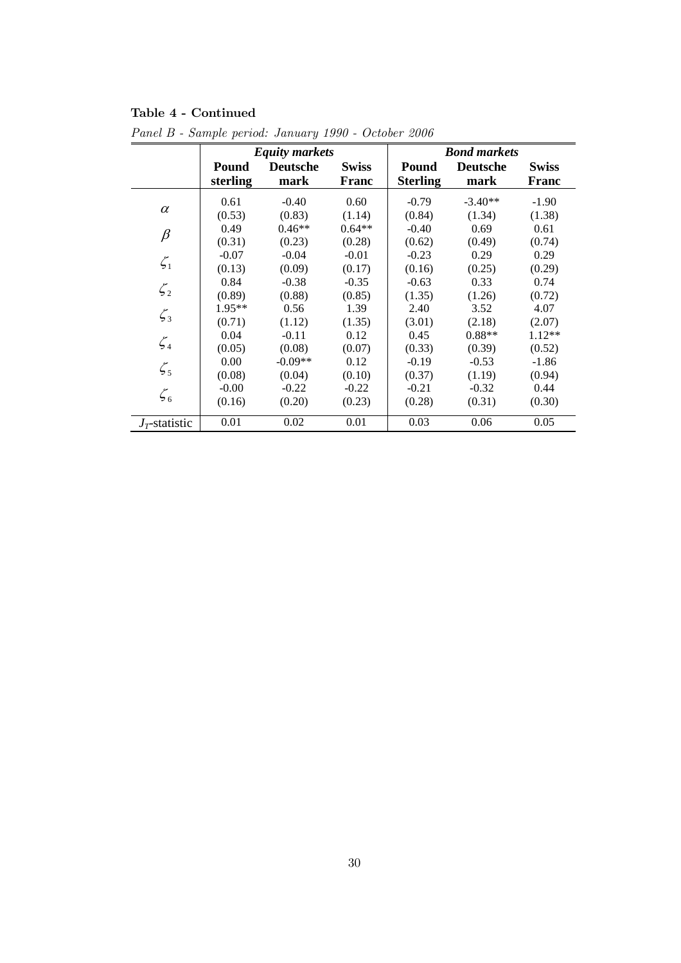# Table 4 - Continued

|                       |          | <b>Equity markets</b> |              |                 | <b>Bond markets</b> |              |  |  |
|-----------------------|----------|-----------------------|--------------|-----------------|---------------------|--------------|--|--|
|                       | Pound    | <b>Deutsche</b>       | <b>Swiss</b> | Pound           | <b>Deutsche</b>     | <b>Swiss</b> |  |  |
|                       | sterling | mark                  | Franc        | <b>Sterling</b> | mark                | Franc        |  |  |
| $\alpha$              | 0.61     | $-0.40$               | 0.60         | $-0.79$         | $-3.40**$           | $-1.90$      |  |  |
| $\beta$               | (0.53)   | (0.83)                | (1.14)       | (0.84)          | (1.34)              | (1.38)       |  |  |
|                       | 0.49     | $0.46**$              | $0.64**$     | $-0.40$         | 0.69                | 0.61         |  |  |
|                       | (0.31)   | (0.23)                | (0.28)       | (0.62)          | (0.49)              | (0.74)       |  |  |
|                       | $-0.07$  | $-0.04$               | $-0.01$      | $-0.23$         | 0.29                | 0.29         |  |  |
| $\zeta_1$             | (0.13)   | (0.09)                | (0.17)       | (0.16)          | (0.25)              | (0.29)       |  |  |
| $\zeta_2$             | 0.84     | $-0.38$               | $-0.35$      | $-0.63$         | 0.33                | 0.74         |  |  |
|                       | (0.89)   | (0.88)                | (0.85)       | (1.35)          | (1.26)              | (0.72)       |  |  |
| $\zeta_3$             | 1.95**   | 0.56                  | 1.39         | 2.40            | 3.52                | 4.07         |  |  |
|                       | (0.71)   | (1.12)                | (1.35)       | (3.01)          | (2.18)              | (2.07)       |  |  |
| $\zeta_4$             | 0.04     | $-0.11$               | 0.12         | 0.45            | $0.88**$            | $1.12**$     |  |  |
|                       | (0.05)   | (0.08)                | (0.07)       | (0.33)          | (0.39)              | (0.52)       |  |  |
|                       | 0.00     | $-0.09**$             | 0.12         | $-0.19$         | $-0.53$             | $-1.86$      |  |  |
| $\zeta_5$             | (0.08)   | (0.04)                | (0.10)       | (0.37)          | (1.19)              | (0.94)       |  |  |
|                       | $-0.00$  | $-0.22$               | $-0.22$      | $-0.21$         | $-0.32$             | 0.44         |  |  |
| $\mathcal{L}_{6}$     | (0.16)   | (0.20)                | (0.23)       | (0.28)          | (0.31)              | (0.30)       |  |  |
| $J_{\tau}$ -statistic | 0.01     | 0.02                  | 0.01         | 0.03            | 0.06                | 0.05         |  |  |

Panel B - Sample period: January 1990 - October 2006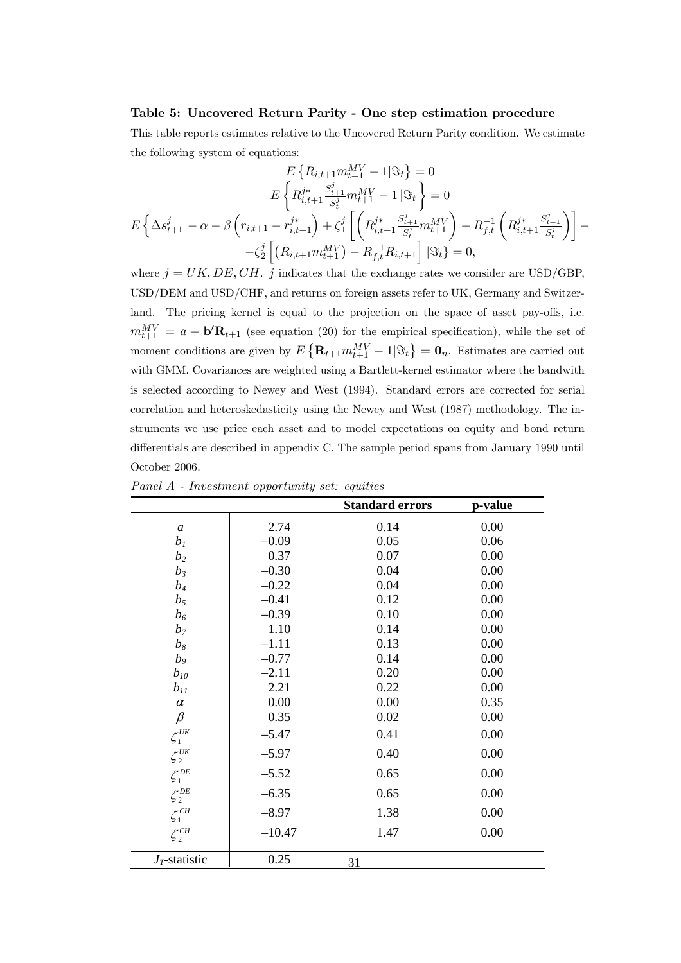#### Table 5: Uncovered Return Parity - One step estimation procedure

This table reports estimates relative to the Uncovered Return Parity condition. We estimate the following system of equations:

$$
E\left\{R_{i,t+1}m_{t+1}^{MV} - 1|\Im_t\right\} = 0
$$

$$
E\left\{R_{i,t+1}^{j*} \frac{S_{t+1}^j}{S_t^j} m_{t+1}^{MV} - 1|\Im_t\right\} = 0
$$

$$
E\left\{\Delta s_{t+1}^j - \alpha - \beta\left(r_{i,t+1} - r_{i,t+1}^{j*}\right) + \zeta_1^j \left[\left(R_{i,t+1}^{j*} \frac{S_{t+1}^j}{S_t^j} m_{t+1}^{MV}\right) - R_{f,t}^{-1}\left(R_{i,t+1}^{j*} \frac{S_{t+1}^j}{S_t^j}\right)\right] - \zeta_2^j \left[\left(R_{i,t+1}m_{t+1}^{MV}\right) - R_{f,t}^{-1}R_{i,t+1}\right]|\Im_t\} = 0,
$$

where  $j = UK, DE, CH$ . j indicates that the exchange rates we consider are USD/GBP, USD/DEM and USD/CHF, and returns on foreign assets refer to UK, Germany and Switzerland. The pricing kernel is equal to the projection on the space of asset pay-offs, i.e.  $m_{t+1}^{MV} = a + \mathbf{b}'\mathbf{R}_{t+1}$  (see equation (20) for the empirical specification), while the set of moment conditions are given by  $E\left\{ \mathbf{R}_{t+1}m_{t+1}^{MV}-1|\Im _{t}\right\} =\mathbf{0}_{n}$ . Estimates are carried out with GMM. Covariances are weighted using a Bartlett-kernel estimator where the bandwith is selected according to Newey and West (1994). Standard errors are corrected for serial correlation and heteroskedasticity using the Newey and West (1987) methodology. The instruments we use price each asset and to model expectations on equity and bond return differentials are described in appendix C. The sample period spans from January 1990 until October 2006.

|                  | 1 L      | <b>Standard errors</b> | p-value |
|------------------|----------|------------------------|---------|
| $\boldsymbol{a}$ | 2.74     | 0.14                   | 0.00    |
| b <sub>I</sub>   | $-0.09$  | 0.05                   | 0.06    |
| b <sub>2</sub>   | 0.37     | 0.07                   | 0.00    |
| $b_3$            | $-0.30$  | 0.04                   | 0.00    |
| $b_4$            | $-0.22$  | 0.04                   | 0.00    |
| $b_5$            | $-0.41$  | 0.12                   | 0.00    |
| $b_6$            | $-0.39$  | 0.10                   | 0.00    |
| $b_7$            | 1.10     | 0.14                   | 0.00    |
| $b_8$            | $-1.11$  | 0.13                   | 0.00    |
| $b_9$            | $-0.77$  | 0.14                   | 0.00    |
| $b_{10}$         | $-2.11$  | 0.20                   | 0.00    |
| $b_{11}$         | 2.21     | 0.22                   | 0.00    |
| $\alpha$         | 0.00     | 0.00                   | 0.35    |
| $\beta$          | 0.35     | 0.02                   | 0.00    |
| $\zeta_1^{UK}$   | $-5.47$  | 0.41                   | 0.00    |
| $\zeta_2^{UK}$   | $-5.97$  | 0.40                   | 0.00    |
| $\zeta_1^{DE}$   | $-5.52$  | 0.65                   | 0.00    |
| $\zeta_2^{DE}$   | $-6.35$  | 0.65                   | 0.00    |
| $\zeta_1^{CH}$   | $-8.97$  | 1.38                   | 0.00    |
| $\zeta_2^{CH}$   | $-10.47$ | 1.47                   | 0.00    |
| $J_T$ -statistic | 0.25     | $\overline{31}$        |         |

Panel A - Investment opportunity set: equities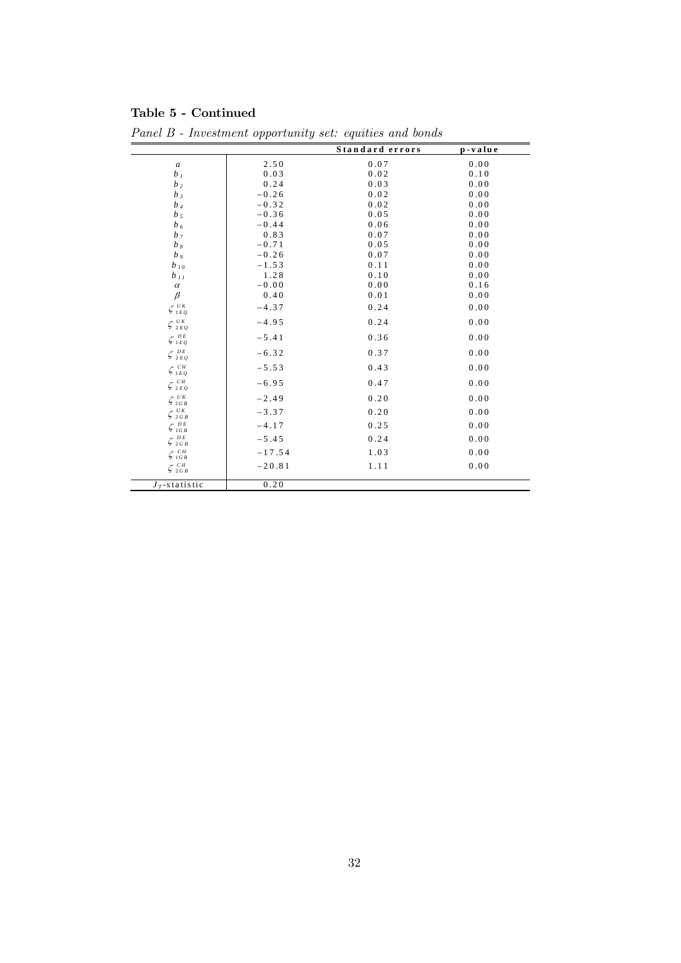|                                         |          | Standard errors | p-value |
|-----------------------------------------|----------|-----------------|---------|
| $\boldsymbol{a}$                        | 2.50     | 0.07            | 0.00    |
| b <sub>1</sub>                          | 0.03     | 0.02            | 0.10    |
| $b_2$                                   | 0.24     | 0.03            | 0.00    |
| $b_3$                                   | $-0.26$  | 0.02            | 0.00    |
| $b_4$                                   | $-0.32$  | 0.02            | 0.00    |
| b <sub>5</sub>                          | $-0.36$  | 0.05            | 0.00    |
| $b_6$                                   | $-0.44$  | 0.06            | 0.00    |
| b <sub>7</sub>                          | 0.83     | 0.07            | 0.00    |
| $b_s$                                   | $-0.71$  | 0.05            | 0.00    |
| b <sub>9</sub>                          | $-0.26$  | 0.07            | 0.00    |
| $b_{10}$                                | $-1.53$  | 0.11            | 0.00    |
| $b_{11}$                                | 1.28     | 0.10            | 0.00    |
| $\alpha$                                | $-0.00$  | 0.00            | 0.16    |
| $\beta$                                 | 0.40     | 0.01            | 0.00    |
| $\zeta_{1EQ}^{UK}$                      | $-4.37$  | 0.24            | 0.00    |
| $\zeta^{UK}_{2EQ}$                      | $-4.95$  | 0.24            | 0.00    |
| $P$ DE<br>51EQ                          | $-5.41$  | 0.36            | 0.00    |
| DE م<br>$\zeta_{2EQ}$                   | $-6.32$  | 0.37            | 0.00    |
| $\zeta_{1EQ}^{CH}$                      | $-5.53$  | 0.43            | 0.00    |
| $\zeta_{2EQ}^{CH}$                      | $-6.95$  | 0.47            | 0.00    |
| $\zeta_{1GB}^{UK}$                      | $-2.49$  | 0.20            | 0.00    |
| $\zeta \, \substack{UK \\ 2 \, G \, B}$ | $-3.37$  | 0.20            | 0.00    |
| $\zeta_{1GB}^{DE}$                      | $-4.17$  | 0.25            | 0.00    |
| $\zeta_{2GB}^{DE}$                      | $-5.45$  | 0.24            | 0.00    |
| $\zeta_{1GB}^{CH}$                      | $-17.54$ | 1.03            | 0.00    |
| $\zeta_{2GB}^{CH}$                      | $-20.81$ | 1.11            | 0.00    |
| $J_T$ -statistic                        | 0.20     |                 |         |

Panel B - Investment opportunity set: equities and bonds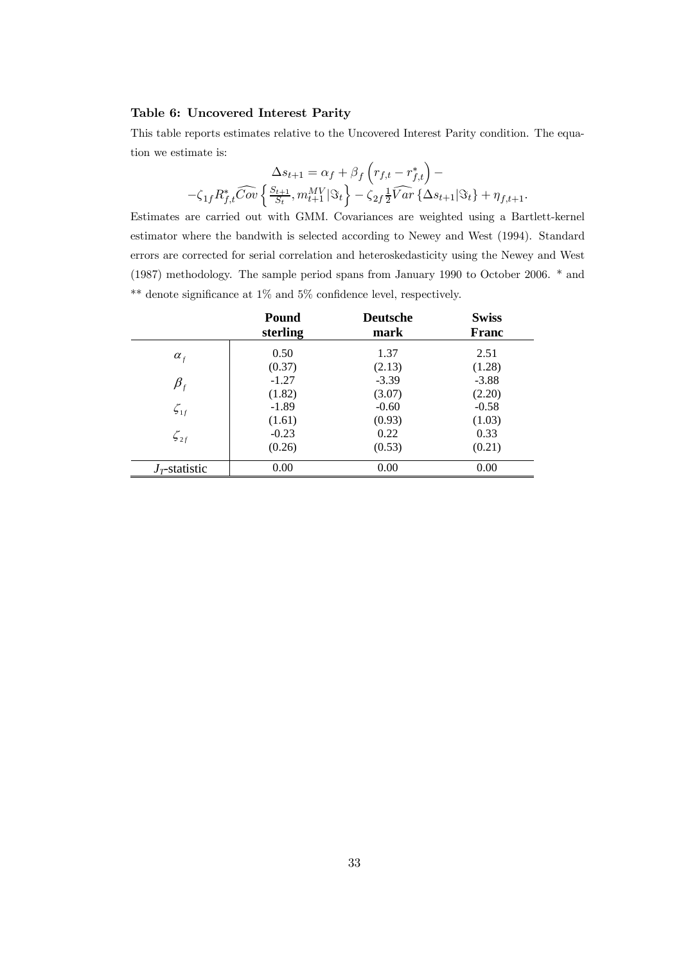### Table 6: Uncovered Interest Parity

This table reports estimates relative to the Uncovered Interest Parity condition. The equation we estimate is: ³  $\ddot{\phantom{a}}$ 

$$
\Delta s_{t+1} = \alpha_f + \beta_f \left( r_{f,t} - r_{f,t}^* \right) -
$$
  

$$
-\zeta_{1f} R_{f,t}^* \widehat{Cov} \left\{ \frac{S_{t+1}}{S_t}, m_{t+1}^{MV} | \Im_t \right\} - \zeta_{2f} \frac{1}{2} \widehat{Var} \left\{ \Delta s_{t+1} | \Im_t \right\} + \eta_{f,t+1}.
$$

Estimates are carried out with GMM. Covariances are weighted using a Bartlett-kernel estimator where the bandwith is selected according to Newey and West (1994). Standard errors are corrected for serial correlation and heteroskedasticity using the Newey and West (1987) methodology. The sample period spans from January 1990 to October 2006. \* and \*\* denote significance at 1% and 5% confidence level, respectively.

|                       | Pound<br>sterling | <b>Deutsche</b><br>mark | <b>Swiss</b><br>Franc |
|-----------------------|-------------------|-------------------------|-----------------------|
| $\alpha_{f}$          | 0.50              | 1.37                    | 2.51                  |
|                       | (0.37)            | (2.13)                  | (1.28)                |
| $\pmb{\beta}_f$       | $-1.27$           | $-3.39$                 | $-3.88$               |
|                       | (1.82)            | (3.07)                  | (2.20)                |
| $\zeta_{1f}$          | $-1.89$           | $-0.60$                 | $-0.58$               |
|                       | (1.61)            | (0.93)                  | (1.03)                |
| $\zeta_{2f}$          | $-0.23$           | 0.22                    | 0.33                  |
|                       | (0.26)            | (0.53)                  | (0.21)                |
| $J_{\tau}$ -statistic | 0.00              | 0.00                    | 0.00                  |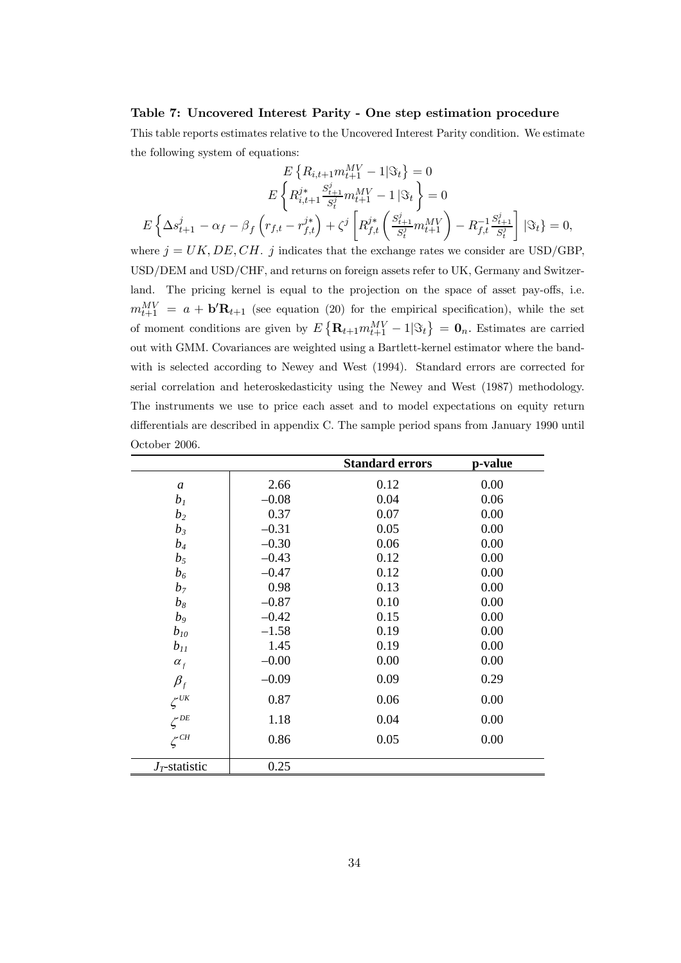#### Table 7: Uncovered Interest Parity - One step estimation procedure

This table reports estimates relative to the Uncovered Interest Parity condition. We estimate the following system of equations:

$$
E\left\{R_{i,t+1}m_{t+1}^{MV} - 1|\Im_t\right\} = 0
$$

$$
E\left\{R_{i,t+1}^{j*}\frac{S_{t+1}^{j}}{S_t^{j}}m_{t+1}^{MV} - 1|\Im_t\right\} = 0
$$

$$
E\left\{\Delta s_{t+1}^{j} - \alpha_f - \beta_f\left(r_{f,t} - r_{f,t}^{j*}\right) + \zeta^j\left[R_{f,t}^{j*}\left(\frac{S_{t+1}^{j}}{S_t^{j}}m_{t+1}^{MV}\right) - R_{f,t}^{-1}\frac{S_{t+1}^{j}}{S_t^{j}}\right]|\Im_t\right\} = 0,
$$
where  $j = UK, DE, CH$ .  $j$  indicates that the exchange rates we consider are  $\text{USD/GBP}$ ,

USD/DEM and USD/CHF, and returns on foreign assets refer to UK, Germany and Switzerland. The pricing kernel is equal to the projection on the space of asset pay-offs, i.e.  $m_{t+1}^{MV} = a + \mathbf{b}'\mathbf{R}_{t+1}$  (see equation (20) for the empirical specification), while the set of moment conditions are given by  $E\left\{ \mathbf{R}_{t+1}m_{t+1}^{MV}-1|\Im _{t}\right\} =\mathbf{0}_{n}$ . Estimates are carried out with GMM. Covariances are weighted using a Bartlett-kernel estimator where the bandwith is selected according to Newey and West (1994). Standard errors are corrected for serial correlation and heteroskedasticity using the Newey and West (1987) methodology. The instruments we use to price each asset and to model expectations on equity return differentials are described in appendix C. The sample period spans from January 1990 until October 2006.

|                  |         | <b>Standard errors</b> | p-value |
|------------------|---------|------------------------|---------|
| $\boldsymbol{a}$ | 2.66    | 0.12                   | 0.00    |
| $b_I$            | $-0.08$ | 0.04                   | 0.06    |
| b <sub>2</sub>   | 0.37    | 0.07                   | 0.00    |
| $b_3$            | $-0.31$ | 0.05                   | 0.00    |
| $b_4$            | $-0.30$ | 0.06                   | 0.00    |
| b <sub>5</sub>   | $-0.43$ | 0.12                   | 0.00    |
| $b_6$            | $-0.47$ | 0.12                   | 0.00    |
| b <sub>7</sub>   | 0.98    | 0.13                   | 0.00    |
| $b_8$            | $-0.87$ | 0.10                   | 0.00    |
| $b_9$            | $-0.42$ | 0.15                   | 0.00    |
| $b_{10}$         | $-1.58$ | 0.19                   | 0.00    |
| $b_{II}$         | 1.45    | 0.19                   | 0.00    |
| $\alpha_{f}$     | $-0.00$ | 0.00                   | 0.00    |
| $\beta_f$        | $-0.09$ | 0.09                   | 0.29    |
| $\zeta^{UK}$     | 0.87    | 0.06                   | 0.00    |
| $\zeta^{DE}$     | 1.18    | 0.04                   | 0.00    |
| $\zeta^{CH}$     | 0.86    | 0.05                   | 0.00    |
| $J_T$ -statistic | 0.25    |                        |         |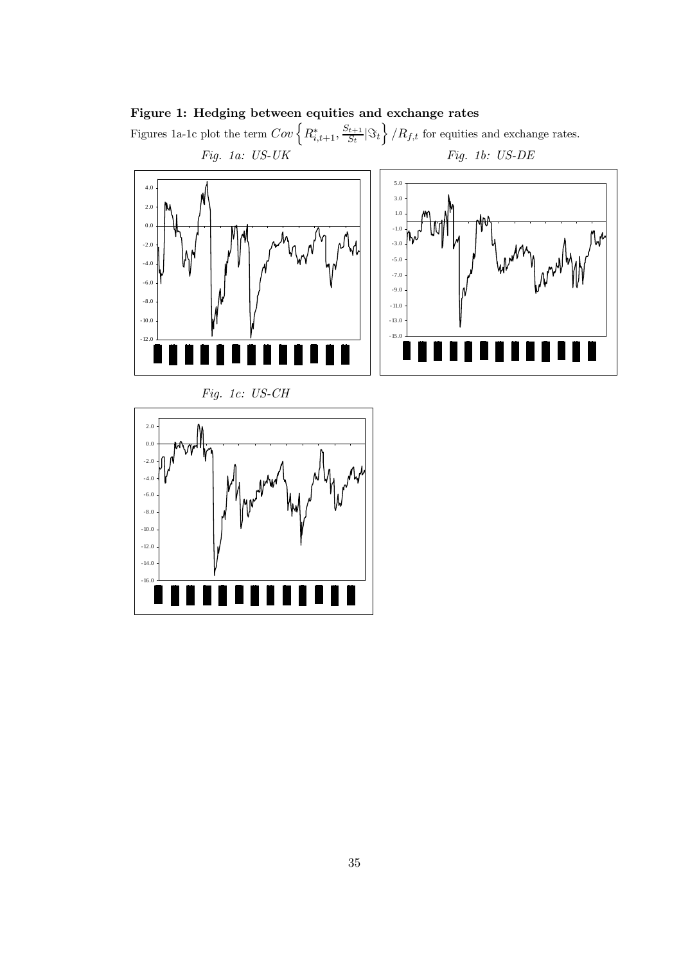# Figure 1: Hedging between equities and exchange rates

Figures 1a-1c plot the term  $Cov \left\{ R^*_{i,t+1}, \frac{S_{t+1}}{S_t} \big| \Im_t \right.$  $\left\{\right/R_{f,t}$  for equities and exchange rates. Fig. 1a: US-UK Fig. 1b: US-DE



Fig. 1c: US-CH

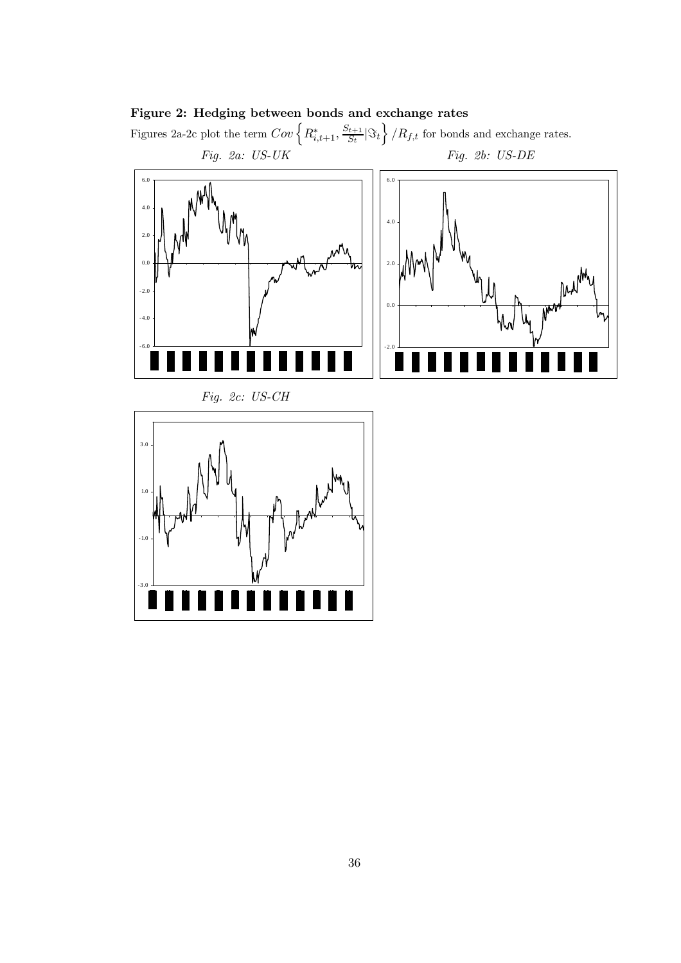# Figure 2: Hedging between bonds and exchange rates

Figures 2a-2c plot the term  $Cov \left\{ R^*_{i,t+1}, \frac{S_{t+1}}{S_t} \big| \Im_t \right.$  $\left\{\right/R_{f,t}$  for bonds and exchange rates.  ${\small Fig. \ 2a: \ \, US-UK} \qquad \qquad {\small Fig. \ 2b: \ \, US-DE}$ 





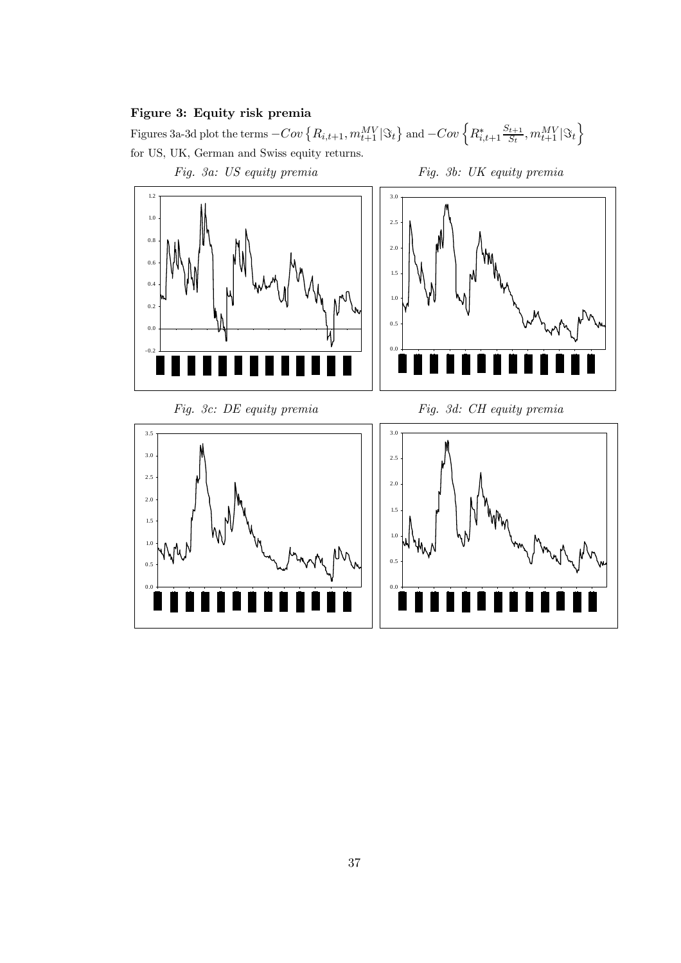### Figure 3: Equity risk premia

Figures 3a-3d plot the terms  $-Cov\left\{R_{i,t+1}, m_{t+1}^{MV}|\Im_t\right\}$  and  $-Cov\left\{R_{i,t+1}^*\frac{S_{t+1}}{S_t}, m_{t+1}^{MV}|\Im_t\right\}$  $\mathcal{L}$ for US, UK, German and Swiss equity returns.

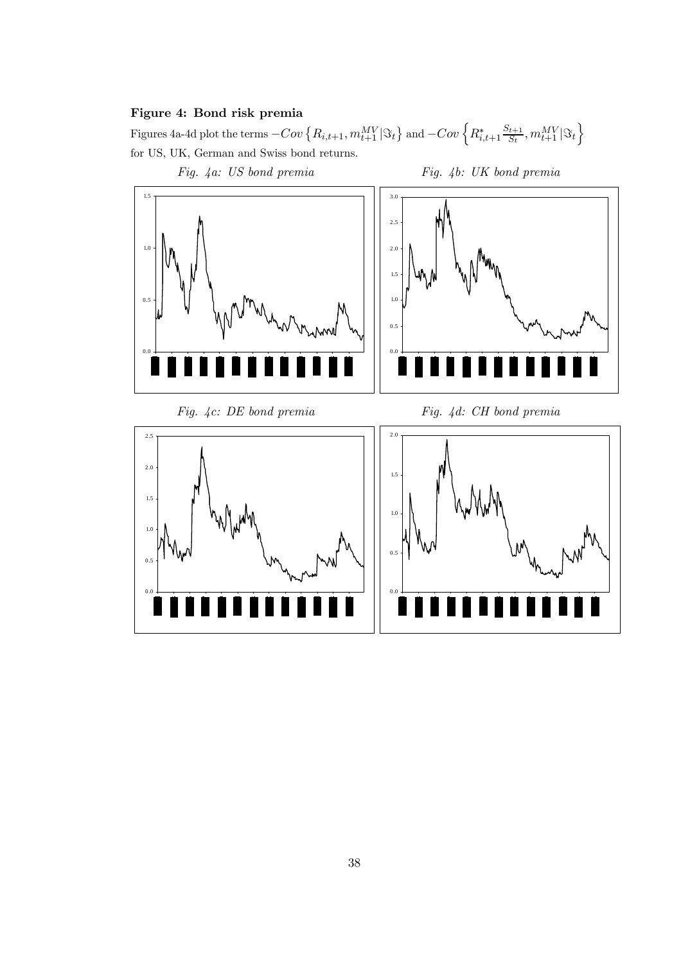### Figure 4: Bond risk premia

Figures 4a-4d plot the terms  $-Cov\left\{R_{i,t+1}, m_{t+1}^{MV}|\Im_t\right\}$  and  $-Cov\left\{R_{i,t+1}^*\frac{S_{t+1}}{S_t}, m_{t+1}^{MV}|\Im_t\right\}$  $\mathcal{L}$ for US, UK, German and Swiss bond returns.

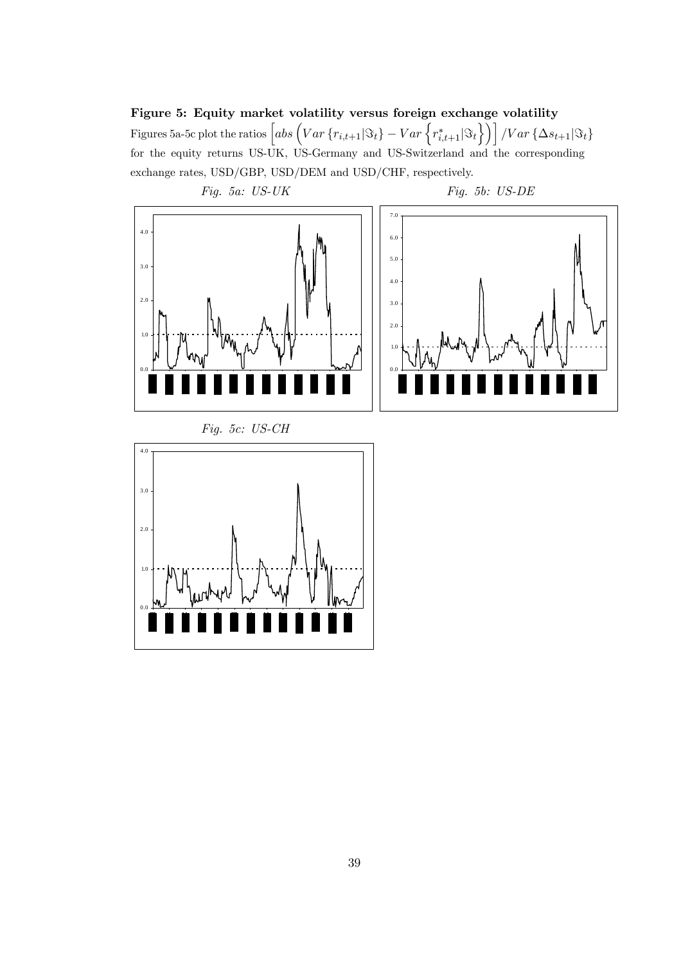Figure 5: Equity market volatility versus foreign exchange volatility Figures 5a-5c plot the ratios  $\left[abs\left(Var\left\{r_{i,t+1}|\Im_t\right\} - Var\left\{r_{i,t+1}^*|\Im_t\right\}\right)\right]/Var\left\{\Delta s_{t+1}|\Im_t\right\}$ for the equity returns US-UK, US-Germany and US-Switzerland and the corresponding exchange rates, USD/GBP, USD/DEM and USD/CHF, respectively.



Fig. 5c: US-CH